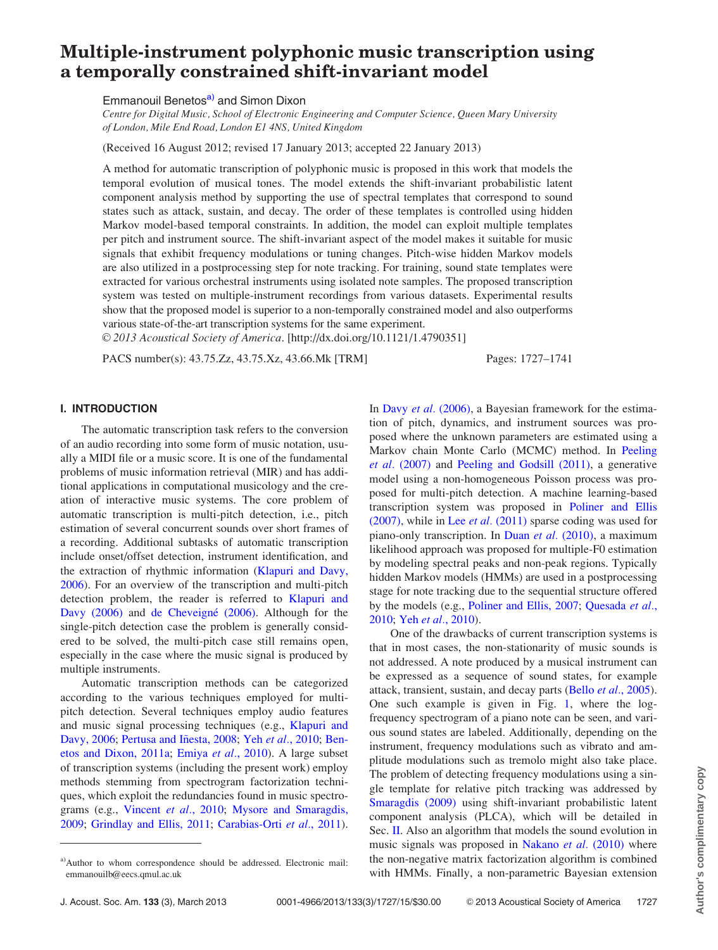# Multiple-instrument polyphonic music transcription using a temporally constrained shift-invariant model

Emmanouil Benetos<sup>a)</sup> and Simon Dixon

Centre for Digital Music, School of Electronic Engineering and Computer Science, Queen Mary University of London, Mile End Road, London E1 4NS, United Kingdom

(Received 16 August 2012; revised 17 January 2013; accepted 22 January 2013)

A method for automatic transcription of polyphonic music is proposed in this work that models the temporal evolution of musical tones. The model extends the shift-invariant probabilistic latent component analysis method by supporting the use of spectral templates that correspond to sound states such as attack, sustain, and decay. The order of these templates is controlled using hidden Markov model-based temporal constraints. In addition, the model can exploit multiple templates per pitch and instrument source. The shift-invariant aspect of the model makes it suitable for music signals that exhibit frequency modulations or tuning changes. Pitch-wise hidden Markov models are also utilized in a postprocessing step for note tracking. For training, sound state templates were extracted for various orchestral instruments using isolated note samples. The proposed transcription system was tested on multiple-instrument recordings from various datasets. Experimental results show that the proposed model is superior to a non-temporally constrained model and also outperforms various state-of-the-art transcription systems for the same experiment.

V<sup>C</sup> 2013 Acoustical Society of America. [http://dx.doi.org/10.1121/1.4790351]

PACS number(s): 43.75.Zz, 43.75.Xz, 43.66.Mk [TRM] Pages: 1727–1741

# I. INTRODUCTION

The automatic transcription task refers to the conversion of an audio recording into some form of music notation, usually a MIDI file or a music score. It is one of the fundamental problems of music information retrieval (MIR) and has additional applications in computational musicology and the creation of interactive music systems. The core problem of automatic transcription is multi-pitch detection, i.e., pitch estimation of several concurrent sounds over short frames of a recording. Additional subtasks of automatic transcription include onset/offset detection, instrument identification, and the extraction of rhythmic information ([Klapuri and Davy,](#page-13-0) [2006\)](#page-13-0). For an overview of the transcription and multi-pitch detection problem, the reader is referred to [Klapuri and](#page-13-0) [Davy \(2006\)](#page-13-0) and [de Cheveign](#page-13-0)é (2006). Although for the single-pitch detection case the problem is generally considered to be solved, the multi-pitch case still remains open, especially in the case where the music signal is produced by multiple instruments.

Automatic transcription methods can be categorized according to the various techniques employed for multipitch detection. Several techniques employ audio features and music signal processing techniques (e.g., [Klapuri and](#page-13-0) [Davy, 2006](#page-13-0); [Pertusa and I](#page-13-0)ñesta, 2008; Yeh et al.[, 2010](#page-14-0); [Ben](#page-13-0)[etos and Dixon, 2011a;](#page-13-0) [Emiya](#page-13-0) et al., 2010). A large subset of transcription systems (including the present work) employ methods stemming from spectrogram factorization techniques, which exploit the redundancies found in music spectrograms (e.g., [Vincent](#page-14-0) et al., 2010; [Mysore and Smaragdis,](#page-13-0) [2009;](#page-13-0) [Grindlay and Ellis, 2011](#page-13-0); [Carabias-Orti](#page-13-0) et al., 2011). In Davy et al. [\(2006\)](#page-13-0), a Bayesian framework for the estimation of pitch, dynamics, and instrument sources was proposed where the unknown parameters are estimated using a Markov chain Monte Carlo (MCMC) method. In [Peeling](#page-13-0) et al. [\(2007\)](#page-13-0) and [Peeling and Godsill \(2011\)](#page-13-0), a generative model using a non-homogeneous Poisson process was proposed for multi-pitch detection. A machine learning-based transcription system was proposed in [Poliner and Ellis](#page-13-0)  $(2007)$ , while in Lee *et al.*  $(2011)$  sparse coding was used for piano-only transcription. In Duan et al. [\(2010\)](#page-13-0), a maximum likelihood approach was proposed for multiple-F0 estimation by modeling spectral peaks and non-peak regions. Typically hidden Markov models (HMMs) are used in a postprocessing stage for note tracking due to the sequential structure offered by the models (e.g., [Poliner and Ellis, 2007](#page-13-0); [Quesada](#page-13-0) et al., [2010](#page-13-0); Yeh et al.[, 2010\)](#page-14-0).

One of the drawbacks of current transcription systems is that in most cases, the non-stationarity of music sounds is not addressed. A note produced by a musical instrument can be expressed as a sequence of sound states, for example attack, transient, sustain, and decay parts (Bello et al.[, 2005\)](#page-13-0). One such example is given in Fig. [1](#page-1-0), where the logfrequency spectrogram of a piano note can be seen, and various sound states are labeled. Additionally, depending on the instrument, frequency modulations such as vibrato and amplitude modulations such as tremolo might also take place. The problem of detecting frequency modulations using a single template for relative pitch tracking was addressed by [Smaragdis \(2009\)](#page-13-0) using shift-invariant probabilistic latent component analysis (PLCA), which will be detailed in Sec. [II](#page-1-0). Also an algorithm that models the sound evolution in music signals was proposed in [Nakano](#page-13-0) *et al.* (2010) where the non-negative matrix factorization algorithm is combined with HMMs. Finally, a non-parametric Bayesian extension

a)Author to whom correspondence should be addressed. Electronic mail: [emmanouilb@eecs.qmul.ac.uk](mailto:emmanouilb@eecs.qmul.ac.uk)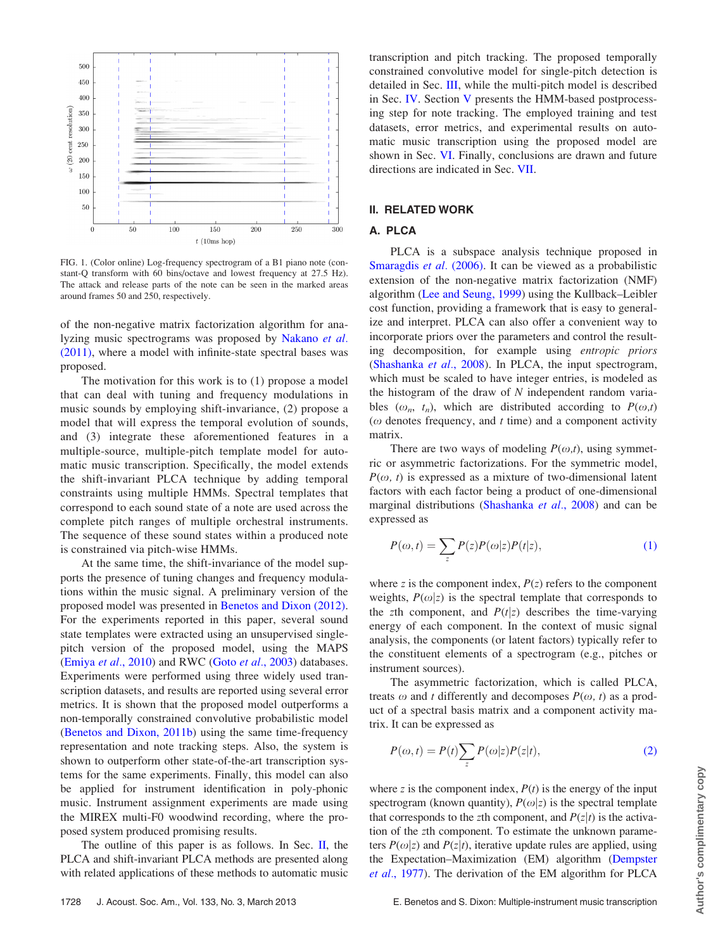<span id="page-1-0"></span>

FIG. 1. (Color online) Log-frequency spectrogram of a B1 piano note (constant-Q transform with 60 bins/octave and lowest frequency at 27.5 Hz). The attack and release parts of the note can be seen in the marked areas around frames 50 and 250, respectively.

of the non-negative matrix factorization algorithm for analyzing music spectrograms was proposed by [Nakano](#page-13-0) et al. [\(2011\)](#page-13-0), where a model with infinite-state spectral bases was proposed.

The motivation for this work is to (1) propose a model that can deal with tuning and frequency modulations in music sounds by employing shift-invariance, (2) propose a model that will express the temporal evolution of sounds, and (3) integrate these aforementioned features in a multiple-source, multiple-pitch template model for automatic music transcription. Specifically, the model extends the shift-invariant PLCA technique by adding temporal constraints using multiple HMMs. Spectral templates that correspond to each sound state of a note are used across the complete pitch ranges of multiple orchestral instruments. The sequence of these sound states within a produced note is constrained via pitch-wise HMMs.

At the same time, the shift-invariance of the model supports the presence of tuning changes and frequency modulations within the music signal. A preliminary version of the proposed model was presented in [Benetos and Dixon \(2012\)](#page-13-0). For the experiments reported in this paper, several sound state templates were extracted using an unsupervised singlepitch version of the proposed model, using the MAPS ([Emiya](#page-13-0) et al., 2010) and RWC (Goto et al.[, 2003\)](#page-13-0) databases. Experiments were performed using three widely used transcription datasets, and results are reported using several error metrics. It is shown that the proposed model outperforms a non-temporally constrained convolutive probabilistic model ([Benetos and Dixon, 2011b](#page-13-0)) using the same time-frequency representation and note tracking steps. Also, the system is shown to outperform other state-of-the-art transcription systems for the same experiments. Finally, this model can also be applied for instrument identification in poly-phonic music. Instrument assignment experiments are made using the MIREX multi-F0 woodwind recording, where the proposed system produced promising results.

The outline of this paper is as follows. In Sec.  $II$ , the PLCA and shift-invariant PLCA methods are presented along with related applications of these methods to automatic music transcription and pitch tracking. The proposed temporally constrained convolutive model for single-pitch detection is detailed in Sec. [III,](#page-3-0) while the multi-pitch model is described in Sec. [IV](#page-4-0). Section [V](#page-7-0) presents the HMM-based postprocessing step for note tracking. The employed training and test datasets, error metrics, and experimental results on automatic music transcription using the proposed model are shown in Sec. [VI.](#page-7-0) Finally, conclusions are drawn and future directions are indicated in Sec. [VII](#page-12-0).

## II. RELATED WORK

#### A. PLCA

PLCA is a subspace analysis technique proposed in [Smaragdis](#page-14-0) et al. (2006). It can be viewed as a probabilistic extension of the non-negative matrix factorization (NMF) algorithm ([Lee and Seung, 1999\)](#page-13-0) using the Kullback–Leibler cost function, providing a framework that is easy to generalize and interpret. PLCA can also offer a convenient way to incorporate priors over the parameters and control the resulting decomposition, for example using entropic priors [\(Shashanka](#page-13-0) et al., 2008). In PLCA, the input spectrogram, which must be scaled to have integer entries, is modeled as the histogram of the draw of  $N$  independent random variables  $(\omega_n, t_n)$ , which are distributed according to  $P(\omega, t)$ ( $\omega$  denotes frequency, and  $t$  time) and a component activity matrix.

There are two ways of modeling  $P(\omega,t)$ , using symmetric or asymmetric factorizations. For the symmetric model,  $P(\omega, t)$  is expressed as a mixture of two-dimensional latent factors with each factor being a product of one-dimensional marginal distributions [\(Shashanka](#page-13-0) et al., 2008) and can be expressed as

$$
P(\omega, t) = \sum_{z} P(z)P(\omega|z)P(t|z),
$$
\n(1)

where  $z$  is the component index,  $P(z)$  refers to the component weights,  $P(\omega|z)$  is the spectral template that corresponds to the zth component, and  $P(t|z)$  describes the time-varying energy of each component. In the context of music signal analysis, the components (or latent factors) typically refer to the constituent elements of a spectrogram (e.g., pitches or instrument sources).

The asymmetric factorization, which is called PLCA, treats  $\omega$  and t differently and decomposes  $P(\omega, t)$  as a product of a spectral basis matrix and a component activity matrix. It can be expressed as

$$
P(\omega, t) = P(t) \sum_{z} P(\omega|z) P(z|t), \qquad (2)
$$

where z is the component index,  $P(t)$  is the energy of the input spectrogram (known quantity),  $P(\omega|z)$  is the spectral template that corresponds to the zth component, and  $P(z|t)$  is the activation of the zth component. To estimate the unknown parameters  $P(\omega|z)$  and  $P(z|t)$ , iterative update rules are applied, using the Expectation–Maximization (EM) algorithm [\(Dempster](#page-13-0) et al.[, 1977](#page-13-0)). The derivation of the EM algorithm for PLCA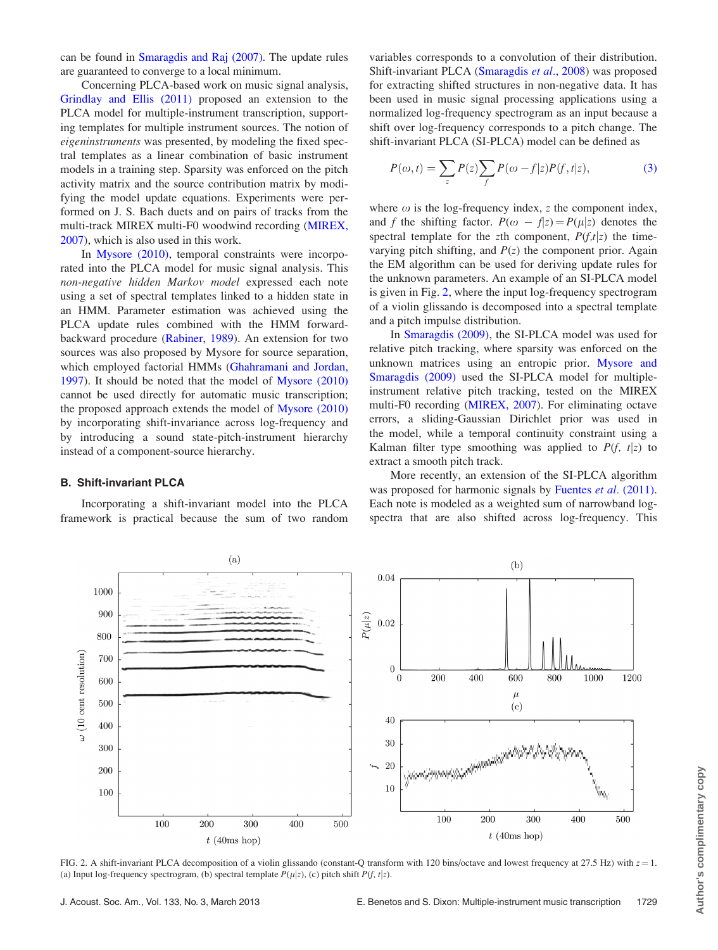can be found in [Smaragdis and Raj \(2007\).](#page-13-0) The update rules are guaranteed to converge to a local minimum.

Concerning PLCA-based work on music signal analysis, [Grindlay and Ellis \(2011\)](#page-13-0) proposed an extension to the PLCA model for multiple-instrument transcription, supporting templates for multiple instrument sources. The notion of eigeninstruments was presented, by modeling the fixed spectral templates as a linear combination of basic instrument models in a training step. Sparsity was enforced on the pitch activity matrix and the source contribution matrix by modifying the model update equations. Experiments were performed on J. S. Bach duets and on pairs of tracks from the multi-track MIREX multi-F0 woodwind recording [\(MIREX,](#page-13-0) [2007\)](#page-13-0), which is also used in this work.

In [Mysore \(2010\)](#page-13-0), temporal constraints were incorporated into the PLCA model for music signal analysis. This non-negative hidden Markov model expressed each note using a set of spectral templates linked to a hidden state in an HMM. Parameter estimation was achieved using the PLCA update rules combined with the HMM forwardbackward procedure [\(Rabiner, 1989](#page-13-0)). An extension for two sources was also proposed by Mysore for source separation, which employed factorial HMMs [\(Ghahramani and Jordan,](#page-13-0) [1997\)](#page-13-0). It should be noted that the model of [Mysore \(2010\)](#page-13-0) cannot be used directly for automatic music transcription; the proposed approach extends the model of [Mysore \(2010\)](#page-13-0) by incorporating shift-invariance across log-frequency and by introducing a sound state-pitch-instrument hierarchy instead of a component-source hierarchy.

# B. Shift-invariant PLCA

Incorporating a shift-invariant model into the PLCA framework is practical because the sum of two random variables corresponds to a convolution of their distribution. Shift-invariant PLCA [\(Smaragdis](#page-14-0) et al., 2008) was proposed for extracting shifted structures in non-negative data. It has been used in music signal processing applications using a normalized log-frequency spectrogram as an input because a shift over log-frequency corresponds to a pitch change. The shift-invariant PLCA (SI-PLCA) model can be defined as

$$
P(\omega, t) = \sum_{z} P(z) \sum_{f} P(\omega - f|z) P(f, t|z), \tag{3}
$$

where  $\omega$  is the log-frequency index, z the component index, and f the shifting factor.  $P(\omega - f|z) = P(\mu|z)$  denotes the spectral template for the zth component,  $P(f,t|z)$  the timevarying pitch shifting, and  $P(z)$  the component prior. Again the EM algorithm can be used for deriving update rules for the unknown parameters. An example of an SI-PLCA model is given in Fig. 2, where the input log-frequency spectrogram of a violin glissando is decomposed into a spectral template and a pitch impulse distribution.

In [Smaragdis \(2009\)](#page-13-0), the SI-PLCA model was used for relative pitch tracking, where sparsity was enforced on the unknown matrices using an entropic prior. [Mysore and](#page-13-0) [Smaragdis \(2009\)](#page-13-0) used the SI-PLCA model for multipleinstrument relative pitch tracking, tested on the MIREX multi-F0 recording [\(MIREX, 2007\)](#page-13-0). For eliminating octave errors, a sliding-Gaussian Dirichlet prior was used in the model, while a temporal continuity constraint using a Kalman filter type smoothing was applied to  $P(f, t|z)$  to extract a smooth pitch track.

More recently, an extension of the SI-PLCA algorithm was proposed for harmonic signals by [Fuentes](#page-13-0) et al. (2011). Each note is modeled as a weighted sum of narrowband logspectra that are also shifted across log-frequency. This



FIG. 2. A shift-invariant PLCA decomposition of a violin glissando (constant-Q transform with 120 bins/octave and lowest frequency at 27.5 Hz) with  $z = 1$ . (a) Input log-frequency spectrogram, (b) spectral template  $P(\mu|z)$ , (c) pitch shift  $P(f, t|z)$ .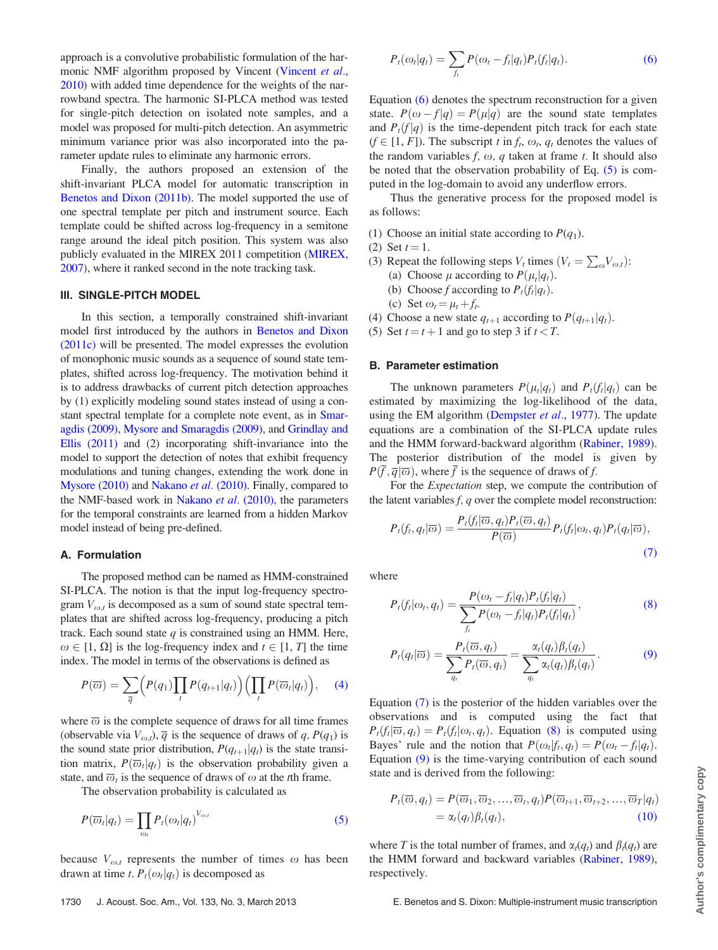<span id="page-3-0"></span>approach is a convolutive probabilistic formulation of the har-monic NMF algorithm proposed by [Vincent](#page-14-0) (Vincent et al., [2010](#page-14-0)) with added time dependence for the weights of the narrowband spectra. The harmonic SI-PLCA method was tested for single-pitch detection on isolated note samples, and a model was proposed for multi-pitch detection. An asymmetric minimum variance prior was also incorporated into the parameter update rules to eliminate any harmonic errors.

Finally, the authors proposed an extension of the shift-invariant PLCA model for automatic transcription in [Benetos and Dixon \(2011b\).](#page-13-0) The model supported the use of one spectral template per pitch and instrument source. Each template could be shifted across log-frequency in a semitone range around the ideal pitch position. This system was also publicly evaluated in the MIREX 2011 competition ([MIREX,](#page-13-0) [2007](#page-13-0)), where it ranked second in the note tracking task.

#### III. SINGLE-PITCH MODEL

In this section, a temporally constrained shift-invariant model first introduced by the authors in [Benetos and Dixon](#page-13-0) [\(2011c\)](#page-13-0) will be presented. The model expresses the evolution of monophonic music sounds as a sequence of sound state templates, shifted across log-frequency. The motivation behind it is to address drawbacks of current pitch detection approaches by (1) explicitly modeling sound states instead of using a constant spectral template for a complete note event, as in [Smar](#page-13-0)[agdis \(2009\)](#page-13-0), [Mysore and Smaragdis \(2009\),](#page-13-0) and [Grindlay and](#page-13-0) [Ellis \(2011\)](#page-13-0) and (2) incorporating shift-invariance into the model to support the detection of notes that exhibit frequency modulations and tuning changes, extending the work done in [Mysore \(2010\)](#page-13-0) and [Nakano](#page-13-0) et al. (2010). Finally, compared to the NMF-based work in [Nakano](#page-13-0) *et al.* (2010), the parameters for the temporal constraints are learned from a hidden Markov model instead of being pre-defined.

#### A. Formulation

The proposed method can be named as HMM-constrained SI-PLCA. The notion is that the input log-frequency spectrogram  $V_{\omega t}$  is decomposed as a sum of sound state spectral templates that are shifted across log-frequency, producing a pitch track. Each sound state  $q$  is constrained using an HMM. Here,  $\omega \in [1, \Omega]$  is the log-frequency index and  $t \in [1, T]$  the time index. The model in terms of the observations is defined as

$$
P(\overline{\omega}) = \sum_{\overline{q}} \Big( P(q_1) \prod_t P(q_{t+1}|q_t) \Big) \Big( \prod_t P(\overline{\omega}_t|q_t) \Big), \quad (4)
$$

where  $\overline{\omega}$  is the complete sequence of draws for all time frames (observable via  $V_{\omega,t}$ ),  $\overline{q}$  is the sequence of draws of q,  $P(q_1)$  is the sound state prior distribution,  $P(q_{t+1}|q_t)$  is the state transition matrix,  $P(\overline{\omega}_t|q_t)$  is the observation probability given a state, and  $\overline{\omega}_t$  is the sequence of draws of  $\omega$  at the *t*th frame.

The observation probability is calculated as

$$
P(\overline{\omega}_t|q_t) = \prod_{\omega_t} P_t(\omega_t|q_t)^{V_{\omega,t}}
$$
\n(5)

because  $V_{\omega,t}$  represents the number of times  $\omega$  has been drawn at time t.  $P_t(\omega_t|q_t)$  is decomposed as

$$
P_t(\omega_t|q_t) = \sum_{f_t} P(\omega_t - f_t|q_t) P_t(f_t|q_t).
$$
\n(6)

Equation (6) denotes the spectrum reconstruction for a given state.  $P(\omega - f|q) = P(\mu|q)$  are the sound state templates and  $P_t(f|q)$  is the time-dependent pitch track for each state  $(f \in [1, F])$ . The subscript t in  $f_t$ ,  $\omega_t$ ,  $q_t$  denotes the values of the random variables  $f$ ,  $\omega$ ,  $q$  taken at frame t. It should also be noted that the observation probability of Eq. (5) is computed in the log-domain to avoid any underflow errors.

Thus the generative process for the proposed model is as follows:

(1) Choose an initial state according to  $P(q_1)$ .

- (2) Set  $t = 1$ .
- (3) Repeat the following steps  $V_t$  times  $(V_t = \sum_{\omega} V_{\omega,t})$ :
	- (a) Choose  $\mu$  according to  $P(\mu_t|q_t)$ .
	- (b) Choose f according to  $P_t(f_t|q_t)$ .
	- (c) Set  $\omega_t = \mu_t + f_t$ .
- (4) Choose a new state  $q_{t+1}$  according to  $P(q_{t+1}|q_t)$ .
- (5) Set  $t = t + 1$  and go to step 3 if  $t < T$ .

## B. Parameter estimation

The unknown parameters  $P(\mu_t|q_t)$  and  $P_t(f_t|q_t)$  can be estimated by maximizing the log-likelihood of the data, using the EM algorithm [\(Dempster](#page-13-0) et al., 1977). The update equations are a combination of the SI-PLCA update rules and the HMM forward-backward algorithm [\(Rabiner, 1989\)](#page-13-0). The posterior distribution of the model is given by  $P(f, \overline{q}|\overline{\omega})$ , where f is the sequence of draws of f.

For the Expectation step, we compute the contribution of the latent variables  $f, q$  over the complete model reconstruction:

$$
P_t(f_t, q_t|\overline{\omega}) = \frac{P_t(f_t|\overline{\omega}, q_t)P_t(\overline{\omega}, q_t)}{P(\overline{\omega})}P_t(f_t|\omega_t, q_t)P_t(q_t|\overline{\omega}),
$$
\n(7)

where

$$
P_t(f_t|\omega_t, q_t) = \frac{P(\omega_t - f_t|q_t)P_t(f_t|q_t)}{\sum_{f_t} P(\omega_t - f_t|q_t)P_t(f_t|q_t)},
$$
\n(8)

$$
P_t(q_t|\overline{\omega}) = \frac{P_t(\overline{\omega}, q_t)}{\sum_{q_t} P_t(\overline{\omega}, q_t)} = \frac{\alpha_t(q_t) \beta_t(q_t)}{\sum_{q_t} \alpha_t(q_t) \beta_t(q_t)}.
$$
(9)

Equation (7) is the posterior of the hidden variables over the observations and is computed using the fact that  $P_t(f_t|\overline{\omega}, q_t) = P_t(f_t|\omega_t, q_t)$ . Equation (8) is computed using Bayes' rule and the notion that  $P(\omega_t | f_t, q_t) = P(\omega_t - f_t | q_t)$ . Equation (9) is the time-varying contribution of each sound state and is derived from the following:

$$
P_t(\overline{\omega}, q_t) = P(\overline{\omega}_1, \overline{\omega}_2, ..., \overline{\omega}_t, q_t) P(\overline{\omega}_{t+1}, \overline{\omega}_{t+2}, ..., \overline{\omega}_T | q_t)
$$
  
=  $\alpha_t(q_t) \beta_t(q_t),$  (10)

where T is the total number of frames, and  $\alpha_t(q_t)$  and  $\beta_t(q_t)$  are the HMM forward and backward variables ([Rabiner, 1989\)](#page-13-0), respectively.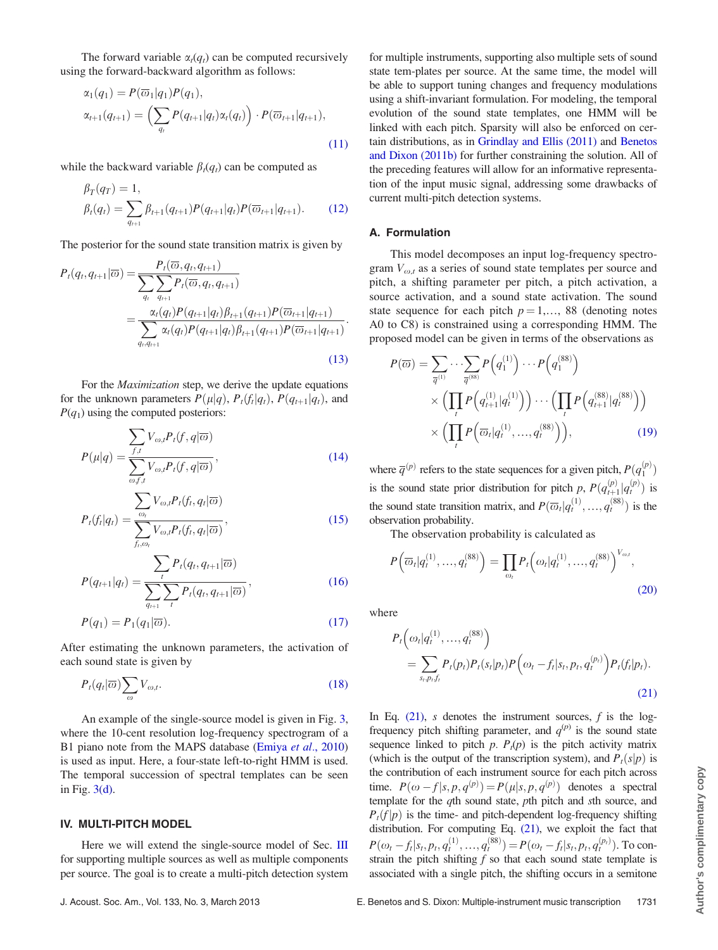<span id="page-4-0"></span>The forward variable  $\alpha_t(q_t)$  can be computed recursively using the forward-backward algorithm as follows:

$$
\alpha_1(q_1) = P(\overline{\omega}_1|q_1)P(q_1),
$$
  
\n
$$
\alpha_{t+1}(q_{t+1}) = \left(\sum_{q_t} P(q_{t+1}|q_t)\alpha_t(q_t)\right) \cdot P(\overline{\omega}_{t+1}|q_{t+1}),
$$
\n(11)

while the backward variable  $\beta_t(q_t)$  can be computed as

$$
\beta_T(q_T) = 1,\n\beta_t(q_t) = \sum_{q_{t+1}} \beta_{t+1}(q_{t+1}) P(q_{t+1}|q_t) P(\overline{\omega}_{t+1}|q_{t+1}).
$$
\n(12)

The posterior for the sound state transition matrix is given by

$$
P_{t}(q_{t}, q_{t+1}|\overline{\omega}) = \frac{P_{t}(\overline{\omega}, q_{t}, q_{t+1})}{\sum_{q_{t}} \sum_{q_{t+1}} P_{t}(\overline{\omega}, q_{t}, q_{t+1})}
$$
  
= 
$$
\frac{\alpha_{t}(q_{t}) P(q_{t+1}|q_{t}) \beta_{t+1}(q_{t+1}) P(\overline{\omega}_{t+1}|q_{t+1})}{\sum_{q_{t}, q_{t+1}} \alpha_{t}(q_{t}) P(q_{t+1}|q_{t}) \beta_{t+1}(q_{t+1}) P(\overline{\omega}_{t+1}|q_{t+1})}.
$$
(13)

For the Maximization step, we derive the update equations for the unknown parameters  $P(\mu|q)$ ,  $P_t(f_t|q_t)$ ,  $P(q_{t+1}|q_t)$ , and  $P(q_1)$  using the computed posteriors:

$$
P(\mu|q) = \frac{\sum_{f,t} V_{\omega,t} P_t(f,q|\overline{\omega})}{\sum_{\omega,f,t} V_{\omega,t} P_t(f,q|\overline{\omega})},
$$
\n(14)

$$
P_t(f_t|q_t) = \frac{\sum_{\omega_t} V_{\omega,t} P_t(f_t, q_t|\overline{\omega})}{\sum_{f_t, \omega_t} V_{\omega,t} P_t(f_t, q_t|\overline{\omega})},
$$
\n(15)

$$
P(q_{t+1}|q_t) = \frac{\sum_{t} P_t(q_t, q_{t+1}|\overline{\omega})}{\sum_{q_{t+1}} \sum_{t} P_t(q_t, q_{t+1}|\overline{\omega})},
$$
\n(16)

$$
P(q_1) = P_1(q_1|\overline{\omega}).
$$
\n(17)

After estimating the unknown parameters, the activation of each sound state is given by

$$
P_t(q_t|\overline{\omega})\sum_{\omega}V_{\omega,t}.\tag{18}
$$

An example of the single-source model is given in Fig. [3](#page-5-0), where the 10-cent resolution log-frequency spectrogram of a B1 piano note from the MAPS database [\(Emiya](#page-13-0) et al., 2010) is used as input. Here, a four-state left-to-right HMM is used. The temporal succession of spectral templates can be seen in Fig. [3\(d\).](#page-5-0)

#### IV. MULTI-PITCH MODEL

Here we will extend the single-source model of Sec. [III](#page-3-0) for supporting multiple sources as well as multiple components per source. The goal is to create a multi-pitch detection system for multiple instruments, supporting also multiple sets of sound state tem-plates per source. At the same time, the model will be able to support tuning changes and frequency modulations using a shift-invariant formulation. For modeling, the temporal evolution of the sound state templates, one HMM will be linked with each pitch. Sparsity will also be enforced on certain distributions, as in [Grindlay and Ellis \(2011\)](#page-13-0) and [Benetos](#page-13-0) [and Dixon \(2011b\)](#page-13-0) for further constraining the solution. All of the preceding features will allow for an informative representation of the input music signal, addressing some drawbacks of current multi-pitch detection systems.

# A. Formulation

This model decomposes an input log-frequency spectrogram  $V_{\omega,t}$  as a series of sound state templates per source and pitch, a shifting parameter per pitch, a pitch activation, a source activation, and a sound state activation. The sound state sequence for each pitch  $p = 1,..., 88$  (denoting notes A0 to C8) is constrained using a corresponding HMM. The proposed model can be given in terms of the observations as

$$
P(\overline{\omega}) = \sum_{\overline{q}^{(1)}} \cdots \sum_{\overline{q}^{(88)}} P(q_1^{(1)}) \cdots P(q_1^{(88)})
$$

$$
\times \left( \prod_t P(q_{t+1}^{(1)} | q_t^{(1)}) \right) \cdots \left( \prod_t P(q_{t+1}^{(88)} | q_t^{(88)}) \right)
$$

$$
\times \left( \prod_t P(\overline{\omega}_t | q_t^{(1)}, \dots, q_t^{(88)}) \right), \qquad (19)
$$

where  $\overline{q}^{(p)}$  refers to the state sequences for a given pitch,  $P(q_1^{(p)})$ is the sound state prior distribution for pitch p,  $P(q_{t+1}^{(p)} | q_t^{(p)})$  is the sound state transition matrix, and  $P(\overline{\omega}_t|q_t^{(1)},...,q_t^{(88)})$  is the observation probability.

The observation probability is calculated as

$$
P(\overline{\omega}_t|q_t^{(1)},...,q_t^{(88)}) = \prod_{\omega_t} P_t(\omega_t|q_t^{(1)},...,q_t^{(88)})^{V_{\omega,t}},
$$
\n(20)

where

$$
P_t\left(\omega_t|q_t^{(1)},\ldots,q_t^{(88)}\right) = \sum_{s_t, p_t, f_t} P_t(p_t) P_t(s_t|p_t) P\left(\omega_t - f_t|s_t, p_t, q_t^{(p_t)}\right) P_t(f_t|p_t).
$$
\n(21)

In Eq.  $(21)$ , s denotes the instrument sources, f is the logfrequency pitch shifting parameter, and  $q^{(p)}$  is the sound state sequence linked to pitch  $p$ .  $P_t(p)$  is the pitch activity matrix (which is the output of the transcription system), and  $P_t(s|p)$  is the contribution of each instrument source for each pitch across time.  $P(\omega - f | s, p, q^{(p)}) = P(\mu | s, p, q^{(p)})$  denotes a spectral template for the qth sound state, pth pitch and sth source, and  $P_t(f|p)$  is the time- and pitch-dependent log-frequency shifting distribution. For computing Eq. (21), we exploit the fact that  $P(\omega_t - f_t|s_t, p_t, q_t^{(1)}, ..., q_t^{(88)}) = P(\omega_t - f_t|s_t, p_t, q_t^{(p_t)})$ . To constrain the pitch shifting  $f$  so that each sound state template is associated with a single pitch, the shifting occurs in a semitone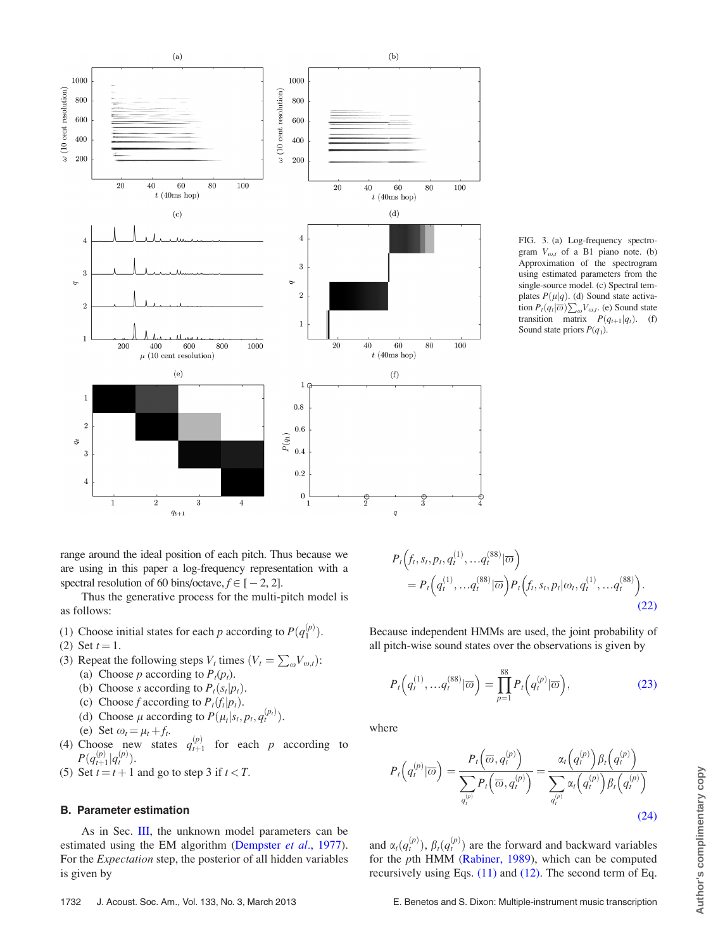<span id="page-5-0"></span>

FIG. 3. (a) Log-frequency spectrogram  $V_{\omega,t}$  of a B1 piano note. (b) Approximation of the spectrogram using estimated parameters from the single-source model. (c) Spectral templates  $P(\mu|q)$ . (d) Sound state activation  $P_t(q_t|\overline{\omega})\sum_{\omega}V_{\omega,t}$ . (e) Sound state transition matrix  $P(q_{t+1}|q_t)$ . (f) Sound state priors  $P(q_1)$ .

range around the ideal position of each pitch. Thus because we are using in this paper a log-frequency representation with a spectral resolution of 60 bins/octave,  $f \in [-2, 2]$ .

Thus the generative process for the multi-pitch model is as follows:

- (1) Choose initial states for each p according to  $P(q_1^{(p)})$ .
- (2) Set  $t = 1$ .
- (3) Repeat the following steps  $V_t$  times  $(V_t = \sum_{\omega} V_{\omega,t})$ :
	- (a) Choose p according to  $P_t(p_t)$ .
	- (b) Choose *s* according to  $P_t(s_t|p_t)$ .
	- (c) Choose f according to  $P_t(f_t|p_t)$ .
	- (d) Choose  $\mu$  according to  $P(\mu_t|s_t, p_t, q_t^{(p_t)})$ .
	- (e) Set  $\omega_t = \mu_t + f_t$ .
- (4) Choose new states  $q_{t+1}^{(p)}$  for each p according to  $P(q_{t+1}^{(p)}|q_t^{(p)}).$
- (5) Set  $t = t + 1$  and go to step 3 if  $t < T$ .

## B. Parameter estimation

As in Sec. [III,](#page-3-0) the unknown model parameters can be estimated using the EM algorithm ([Dempster](#page-13-0) *et al.*, 1977). For the Expectation step, the posterior of all hidden variables is given by

$$
P_{t}\left(f_{t}, s_{t}, p_{t}, q_{t}^{(1)}, \ldots q_{t}^{(88)} | \overline{\omega}\right)
$$
  
=  $P_{t}\left(q_{t}^{(1)}, \ldots q_{t}^{(88)} | \overline{\omega}\right) P_{t}\left(f_{t}, s_{t}, p_{t} | \omega_{t}, q_{t}^{(1)}, \ldots q_{t}^{(88)}\right).$  (22)

Because independent HMMs are used, the joint probability of all pitch-wise sound states over the observations is given by

$$
P_t\left(q_t^{(1)}, \ldots q_t^{(88)}|\overline{\omega}\right) = \prod_{p=1}^{88} P_t\left(q_t^{(p)}|\overline{\omega}\right),\tag{23}
$$

where

$$
P_t\left(q_t^{(p)}|\overline{\omega}\right) = \frac{P_t\left(\overline{\omega}, q_t^{(p)}\right)}{\sum_{q_t^{(p)}} P_t\left(\overline{\omega}, q_t^{(p)}\right)} = \frac{\alpha_t\left(q_t^{(p)}\right)\beta_t\left(q_t^{(p)}\right)}{\sum_{q_t^{(p)}} \alpha_t\left(q_t^{(p)}\right)\beta_t\left(q_t^{(p)}\right)}
$$
\n(24)

and  $\alpha_t(q_t^{(p)})$ ,  $\beta_t(q_t^{(p)})$  are the forward and backward variables for the pth HMM ([Rabiner, 1989\)](#page-13-0), which can be computed recursively using Eqs. [\(11\)](#page-4-0) and [\(12\)](#page-4-0). The second term of Eq.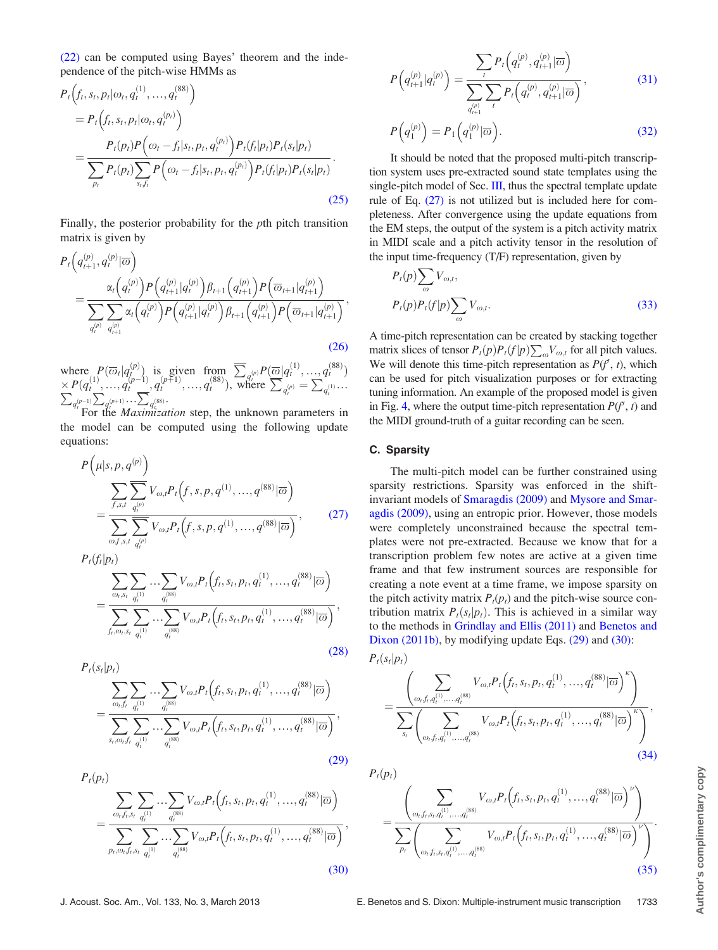<span id="page-6-0"></span>[\(22\)](#page-5-0) can be computed using Bayes' theorem and the independence of the pitch-wise HMMs as

$$
P_{t}\left(f_{t}, s_{t}, p_{t}|\omega_{t}, q_{t}^{(1)}, ..., q_{t}^{(88)}\right)
$$
\n
$$
= P_{t}\left(f_{t}, s_{t}, p_{t}|\omega_{t}, q_{t}^{(p_{t})}\right)
$$
\n
$$
= \frac{P_{t}(p_{t})P\left(\omega_{t} - f_{t}|s_{t}, p_{t}, q_{t}^{(p_{t})}\right)P_{t}(f_{t}|p_{t})P_{t}(s_{t}|p_{t})}{\sum_{p_{t}} P_{t}(p_{t})\sum_{s_{t}, f_{t}} P\left(\omega_{t} - f_{t}|s_{t}, p_{t}, q_{t}^{(p_{t})}\right)P_{t}(f_{t}|p_{t})P_{t}(s_{t}|p_{t})}.
$$
\n(25)

Finally, the posterior probability for the pth pitch transition matrix is given by

$$
P_{t}\left(q_{t+1}^{(p)}, q_{t}^{(p)}|\overline{\omega}\right)
$$
\n
$$
= \frac{\alpha_{t}\left(q_{t}^{(p)}\right)P\left(q_{t+1}^{(p)}|q_{t}^{(p)}\right)\beta_{t+1}\left(q_{t+1}^{(p)}\right)P\left(\overline{\omega}_{t+1}|q_{t+1}^{(p)}\right)}{\sum_{q_{t}^{(p)}}\sum_{q_{t+1}^{(p)}}\alpha_{t}\left(q_{t}^{(p)}\right)P\left(q_{t+1}^{(p)}|q_{t}^{(p)}\right)\beta_{t+1}\left(q_{t+1}^{(p)}\right)P\left(\overline{\omega}_{t+1}|q_{t+1}^{(p)}\right)},
$$
\n(26)

where  $P(\overline{\omega}_t | q_{t-1}^{(p)})$  is given from  $\sum_{i=1}^{\infty} q_i^{(p)} P(\overline{\omega}_t | q_t^{(1)}, ..., q_t^{(88)})$  $P(q_1^{(1)}, ..., q_t^{(p-1)}, q_t^{(p+1)}, ..., q_t^{(88)}),$  where  $\sum_{q_t^{(p)}} q_t^{(p)} = \sum_{q_t^{(1)}} ...$  $q_t^{(p-1)}$  $\vec{z}$  $q_t^{(p+1)} \cdots \overline{\sum} q_t^{(88)}$ 

For the *Maximization* step, the unknown parameters in the model can be computed using the following update equations:

$$
P(\mu|s, p, q^{(p)})
$$
  
= 
$$
\frac{\sum_{f,s,t} \sum_{q_r^{(p)}} V_{\omega,t} P_t(f,s,p,q^{(1)},...,q^{(88)}|\overline{\omega})}{\sum_{\omega f,s,t} \sum_{q_r^{(p)}} V_{\omega,t} P_t(f,s,p,q^{(1)},...,q^{(88)}|\overline{\omega})},
$$
 (27)  

$$
P_t(f_t|p_t)
$$

$$
= \frac{\sum_{\omega_t, s_t} \sum_{q_t^{(1)}} \dots \sum_{q_t^{(88)}} V_{\omega,t} P_t(f_t, s_t, p_t, q_t^{(1)}, \dots, q_t^{(88)} | \overline{\omega})}{\sum_{f_t, \omega_t, s_t} \sum_{q_t^{(1)}} \dots \sum_{q_t^{(88)}} V_{\omega,t} P_t(f_t, s_t, p_t, q_t^{(1)}, \dots, q_t^{(88)} | \overline{\omega})},
$$
\n(28)

$$
P_{t}(s_{t}|p_{t})\n= \frac{\sum_{\omega_{t},f_{t}}\sum_{q_{t}^{(1)}}\cdots\sum_{q_{t}^{(88)}}V_{\omega,t}P_{t}(f_{t},s_{t},p_{t},q_{t}^{(1)},\ldots,q_{t}^{(88)}|\overline{\omega})}{\sum_{s_{t},\omega_{t},f_{t}}\sum_{q_{t}^{(1)}}\cdots\sum_{q_{t}^{(88)}}V_{\omega,t}P_{t}(f_{t},s_{t},p_{t},q_{t}^{(1)},\ldots,q_{t}^{(88)}|\overline{\omega})},
$$
\n(29)

$$
P_{t}(p_{t}) = \frac{\sum_{\omega_{t},f_{t},s_{t}} \sum_{q_{t}^{(1)}} \cdots \sum_{q_{t}^{(88)}} V_{\omega_{t}} P_{t}(f_{t}, s_{t}, p_{t}, q_{t}^{(1)}, \ldots, q_{t}^{(88)} | \overline{\omega})}{\sum_{p_{t},\omega_{t},f_{t},s_{t}} \sum_{q_{t}^{(1)}} \cdots \sum_{q_{t}^{(88)}} V_{\omega_{t}} P_{t}(f_{t}, s_{t}, p_{t}, q_{t}^{(1)}, \ldots, q_{t}^{(88)} | \overline{\omega})},
$$
\n(30)

$$
P(q_{t+1}^{(p)}|q_t^{(p)}) = \frac{\sum_{t} P_t(q_t^{(p)}, q_{t+1}^{(p)}|\overline{\omega})}{\sum_{q_{t+1}^{(p)}} \sum_{t} P_t(q_t^{(p)}, q_{t+1}^{(p)}|\overline{\omega})},
$$
(31)  

$$
P(q_1^{(p)}) = P_1(q_1^{(p)}|\overline{\omega}).
$$
(32)

It should be noted that the proposed multi-pitch transcription system uses pre-extracted sound state templates using the single-pitch model of Sec. [III,](#page-3-0) thus the spectral template update rule of Eq. (27) is not utilized but is included here for completeness. After convergence using the update equations from the EM steps, the output of the system is a pitch activity matrix in MIDI scale and a pitch activity tensor in the resolution of the input time-frequency (T/F) representation, given by

$$
P_t(p)\sum_{\omega} V_{\omega,t},
$$
  
\n
$$
P_t(p)P_t(f|p)\sum_{\omega} V_{\omega,t}.
$$
\n(33)

A time-pitch representation can be created by stacking together matrix slices of tensor  $P_t(p)P_t(f|p)\sum_{\omega}V_{\omega,t}$  for all pitch values. We will denote this time-pitch representation as  $P(f', t)$ , which can be used for pitch visualization purposes or for extracting tuning information. An example of the proposed model is given in Fig. [4](#page-7-0), where the output time-pitch representation  $P(f', t)$  and the MIDI ground-truth of a guitar recording can be seen.

## C. Sparsity

The multi-pitch model can be further constrained using sparsity restrictions. Sparsity was enforced in the shiftinvariant models of [Smaragdis \(2009\)](#page-13-0) and [Mysore and Smar](#page-13-0)[agdis \(2009\)](#page-13-0), using an entropic prior. However, those models were completely unconstrained because the spectral templates were not pre-extracted. Because we know that for a transcription problem few notes are active at a given time frame and that few instrument sources are responsible for creating a note event at a time frame, we impose sparsity on the pitch activity matrix  $P_t(p_t)$  and the pitch-wise source contribution matrix  $P_t(s_t|p_t)$ . This is achieved in a similar way to the methods in [Grindlay and Ellis \(2011\)](#page-13-0) and [Benetos and](#page-13-0) [Dixon \(2011b\)](#page-13-0), by modifying update Eqs. (29) and (30):  $p \neq \pm \sqrt{2}$ 

$$
P_t(S_t|p_t)
$$

$$
= \frac{\left(\sum_{\omega_{t}f_{t},q_{t}^{(1)},...,q_{t}^{(88)}}V_{\omega,t}P_{t}\left(f_{t},s_{t},p_{t},q_{t}^{(1)},...,q_{t}^{(88)}|\overline{\omega}\right)^{\kappa}\right)}{\sum_{s_{t}}\left(\sum_{\omega_{t}f_{t},q_{t}^{(1)},...,q_{t}^{(88)}}V_{\omega,t}P_{t}\left(f_{t},s_{t},p_{t},q_{t}^{(1)},...,q_{t}^{(88)}|\overline{\omega}\right)^{\kappa}\right)},\tag{34}
$$

 $P_t(p_t)$ 

$$
= \frac{\left(\sum_{\omega_{t}f_{t}, s_{t}, q_{t}^{(1)}, \dots, q_{t}^{(88)}} V_{\omega_{t}} P_{t}\left(f_{t}, s_{t}, p_{t}, q_{t}^{(1)}, \dots, q_{t}^{(88)} | \overline{\omega}\right)^{\nu}\right)}{\sum_{p_{t}} \left(\sum_{\omega_{t}f_{t}, s_{t}, q_{t}^{(1)}, \dots, q_{t}^{(88)}} V_{\omega_{t}P_{t}\left(f_{t}, s_{t}, p_{t}, q_{t}^{(1)}, \dots, q_{t}^{(88)} | \overline{\omega}\right)^{\nu}\right)}.
$$
\n(35)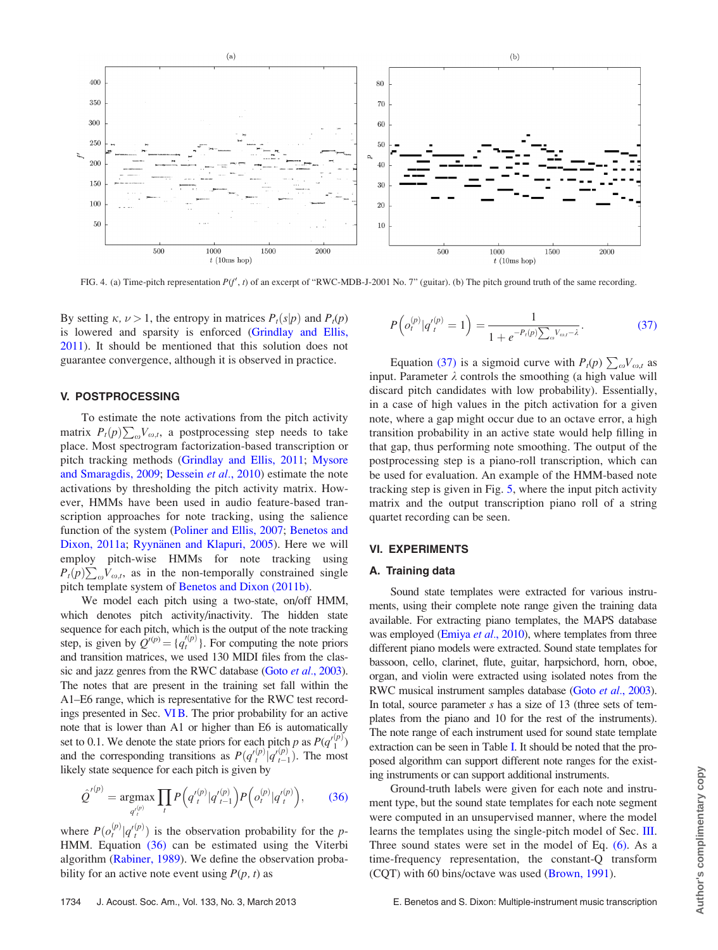<span id="page-7-0"></span>

FIG. 4. (a) Time-pitch representation  $P(f', t)$  of an excerpt of "RWC-MDB-J-2001 No. 7" (guitar). (b) The pitch ground truth of the same recording.

By setting  $\kappa, \nu > 1$ , the entropy in matrices  $P_t(s|p)$  and  $P_t(p)$ is lowered and sparsity is enforced ([Grindlay and Ellis,](#page-13-0) [2011\)](#page-13-0). It should be mentioned that this solution does not guarantee convergence, although it is observed in practice.

# V. POSTPROCESSING

To estimate the note activations from the pitch activity matrix  $P_t(p) \sum_{\omega} V_{\omega,t}$ , a postprocessing step needs to take place. Most spectrogram factorization-based transcription or pitch tracking methods ([Grindlay and Ellis, 2011](#page-13-0); [Mysore](#page-13-0) [and Smaragdis, 2009](#page-13-0); [Dessein](#page-13-0) et al., 2010) estimate the note activations by thresholding the pitch activity matrix. However, HMMs have been used in audio feature-based transcription approaches for note tracking, using the salience function of the system [\(Poliner and Ellis, 2007;](#page-13-0) [Benetos and](#page-13-0) [Dixon, 2011a](#page-13-0); [Ryyn](#page-13-0)ä[nen and Klapuri, 2005](#page-13-0)). Here we will employ pitch-wise HMMs for note tracking using  $P_t(p) \sum_{\omega} V_{\omega,t}$ , as in the non-temporally constrained single pitch template system of [Benetos and Dixon \(2011b\).](#page-13-0)

We model each pitch using a two-state, on/off HMM, which denotes pitch activity/inactivity. The hidden state sequence for each pitch, which is the output of the note tracking step, is given by  $Q^{(p)} = \{q_t^{(p)}\}\.$  For computing the note priors and transition matrices, we used 130 MIDI files from the classic and jazz genres from the RWC database (Goto *et al.*[, 2003](#page-13-0)). The notes that are present in the training set fall within the A1–E6 range, which is representative for the RWC test recordings presented in Sec. [VI B.](#page-8-0) The prior probability for an active note that is lower than A1 or higher than E6 is automatically set to 0.1. We denote the state priors for each pitch p as  $P(q_1^{(p)})$ and the corresponding transitions as  $P(q_t^{(p)}) \cdot (q_{t-1}^{(p)})$ . The most likely state sequence for each pitch is given by

$$
\hat{\mathcal{Q}}^{\prime (p)} = \underset{q_{t}^{\prime (p)}}{\operatorname{argmax}} \prod_{t} P(q_{t}^{\prime (p)} | q_{t-1}^{\prime (p)}) P(q_{t}^{\prime (p)} | q_{t}^{\prime (p)}), \quad (36)
$$

where  $P(o_t^{(p)}|q_t^{(p)})$  is the observation probability for the p-HMM. Equation (36) can be estimated using the Viterbi algorithm ([Rabiner, 1989\)](#page-13-0). We define the observation probability for an active note event using  $P(p, t)$  as

$$
P\left(o_t^{(p)}|q_t^{\prime(p)}=1\right) = \frac{1}{1 + e^{-P_t(p)\sum_{\omega}V_{\omega,t}-\lambda}}.\tag{37}
$$

Equation (37) is a sigmoid curve with  $P_t(p) \sum_{\omega} V_{\omega,t}$  as input. Parameter  $\lambda$  controls the smoothing (a high value will discard pitch candidates with low probability). Essentially, in a case of high values in the pitch activation for a given note, where a gap might occur due to an octave error, a high transition probability in an active state would help filling in that gap, thus performing note smoothing. The output of the postprocessing step is a piano-roll transcription, which can be used for evaluation. An example of the HMM-based note tracking step is given in Fig. [5](#page-8-0), where the input pitch activity matrix and the output transcription piano roll of a string quartet recording can be seen.

#### VI. EXPERIMENTS

# A. Training data

Sound state templates were extracted for various instruments, using their complete note range given the training data available. For extracting piano templates, the MAPS database was employed [\(Emiya](#page-13-0) et al., 2010), where templates from three different piano models were extracted. Sound state templates for bassoon, cello, clarinet, flute, guitar, harpsichord, horn, oboe, organ, and violin were extracted using isolated notes from the RWC musical instrument samples database (Goto et al.[, 2003\)](#page-13-0). In total, source parameter  $s$  has a size of 13 (three sets of templates from the piano and 10 for the rest of the instruments). The note range of each instrument used for sound state template extraction can be seen in Table [I.](#page-8-0) It should be noted that the proposed algorithm can support different note ranges for the existing instruments or can support additional instruments.

Ground-truth labels were given for each note and instrument type, but the sound state templates for each note segment were computed in an unsupervised manner, where the model learns the templates using the single-pitch model of Sec. [III.](#page-3-0) Three sound states were set in the model of Eq.  $(6)$ . As a time-frequency representation, the constant-Q transform (CQT) with 60 bins/octave was used ([Brown, 1991\)](#page-13-0).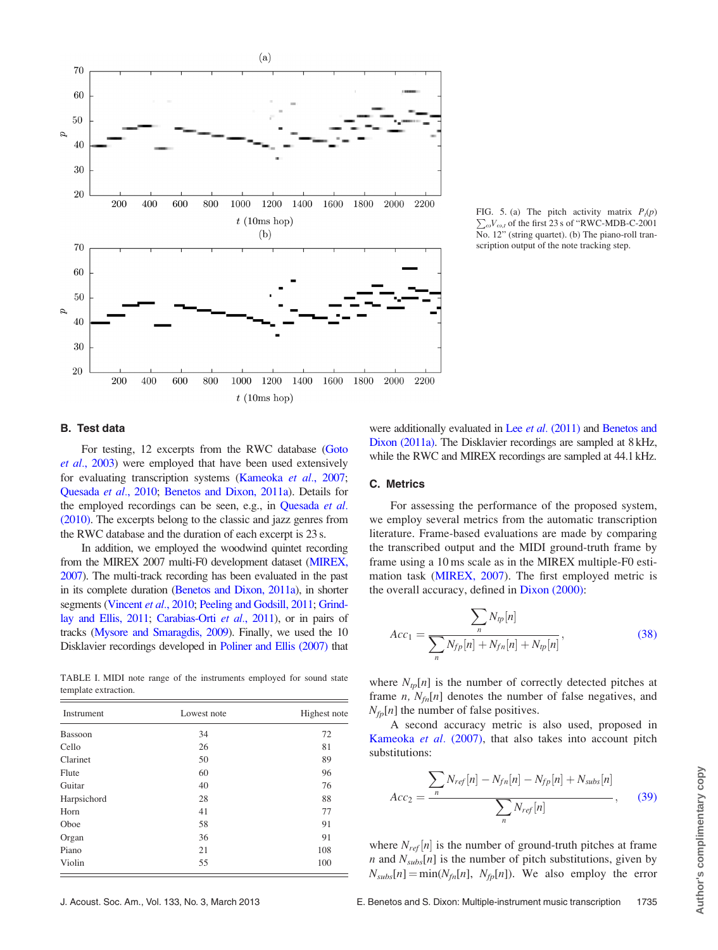<span id="page-8-0"></span>

FIG. 5. (a) The pitch activity matrix  $P_t(p)$ <br>  $\sum V_{\text{eff}}$  of the first 23.8 of "BWC MDP C 2001  $\sum_{\omega}V_{\omega,t}$  of the first 23 s of "RWC-MDB-C-2001 No. 12" (string quartet). (b) The piano-roll transcription output of the note tracking step.

# B. Test data

For testing, 12 excerpts from the RWC database ([Goto](#page-13-0) et al.[, 2003\)](#page-13-0) were employed that have been used extensively for evaluating transcription systems [\(Kameoka](#page-13-0) et al., 2007; [Quesada](#page-13-0) et al., 2010; [Benetos and Dixon, 2011a\)](#page-13-0). Details for the employed recordings can be seen, e.g., in [Quesada](#page-13-0) et al. [\(2010\).](#page-13-0) The excerpts belong to the classic and jazz genres from the RWC database and the duration of each excerpt is 23 s.

In addition, we employed the woodwind quintet recording from the MIREX 2007 multi-F0 development dataset [\(MIREX,](#page-13-0) [2007](#page-13-0)). The multi-track recording has been evaluated in the past in its complete duration [\(Benetos and Dixon, 2011a\)](#page-13-0), in shorter segments [\(Vincent](#page-14-0) et al., 2010; [Peeling and Godsill, 2011](#page-13-0); [Grind](#page-13-0)[lay and Ellis, 2011;](#page-13-0) [Carabias-Orti](#page-13-0) et al., 2011), or in pairs of tracks ([Mysore and Smaragdis, 2009\)](#page-13-0). Finally, we used the 10 Disklavier recordings developed in [Poliner and Ellis \(2007\)](#page-13-0) that

TABLE I. MIDI note range of the instruments employed for sound state template extraction.

| Instrument  | Lowest note | Highest note |  |  |
|-------------|-------------|--------------|--|--|
| Bassoon     | 34          | 72           |  |  |
| Cello       | 26          | 81           |  |  |
| Clarinet    | 50          | 89           |  |  |
| Flute       | 60          | 96           |  |  |
| Guitar      | 40          | 76           |  |  |
| Harpsichord | 28          | 88           |  |  |
| Horn        | 41          | 77           |  |  |
| Oboe        | 58          | 91           |  |  |
| Organ       | 36          | 91           |  |  |
| Piano       | 21          | 108          |  |  |
| Violin      | 55          | 100          |  |  |

were additionally evaluated in Lee et al. [\(2011\)](#page-13-0) and [Benetos and](#page-13-0) [Dixon \(2011a\)](#page-13-0). The Disklavier recordings are sampled at 8 kHz, while the RWC and MIREX recordings are sampled at 44.1 kHz.

#### C. Metrics

For assessing the performance of the proposed system, we employ several metrics from the automatic transcription literature. Frame-based evaluations are made by comparing the transcribed output and the MIDI ground-truth frame by frame using a 10 ms scale as in the MIREX multiple-F0 estimation task ([MIREX, 2007](#page-13-0)). The first employed metric is the overall accuracy, defined in [Dixon \(2000\):](#page-13-0)

$$
Acc_{1} = \frac{\sum_{n} N_{tp}[n]}{\sum_{n} N_{fp}[n] + N_{fn}[n] + N_{tp}[n]},
$$
\n(38)

where  $N_{tp}[n]$  is the number of correctly detected pitches at frame *n*,  $N_{fn}[n]$  denotes the number of false negatives, and  $N_{\text{fn}}[n]$  the number of false positives.

A second accuracy metric is also used, proposed in [Kameoka](#page-13-0) et al. (2007), that also takes into account pitch substitutions:

$$
Acc_2 = \frac{\sum_{n} N_{ref}[n] - N_{fn}[n] - N_{fp}[n] + N_{subs}[n]}{\sum_{n} N_{ref}[n]},
$$
 (39)

where  $N_{ref}[n]$  is the number of ground-truth pitches at frame *n* and  $N_{subs}[n]$  is the number of pitch substitutions, given by  $N_{subs}[n] = min(N_{fn}[n], N_{fn}[n])$ . We also employ the error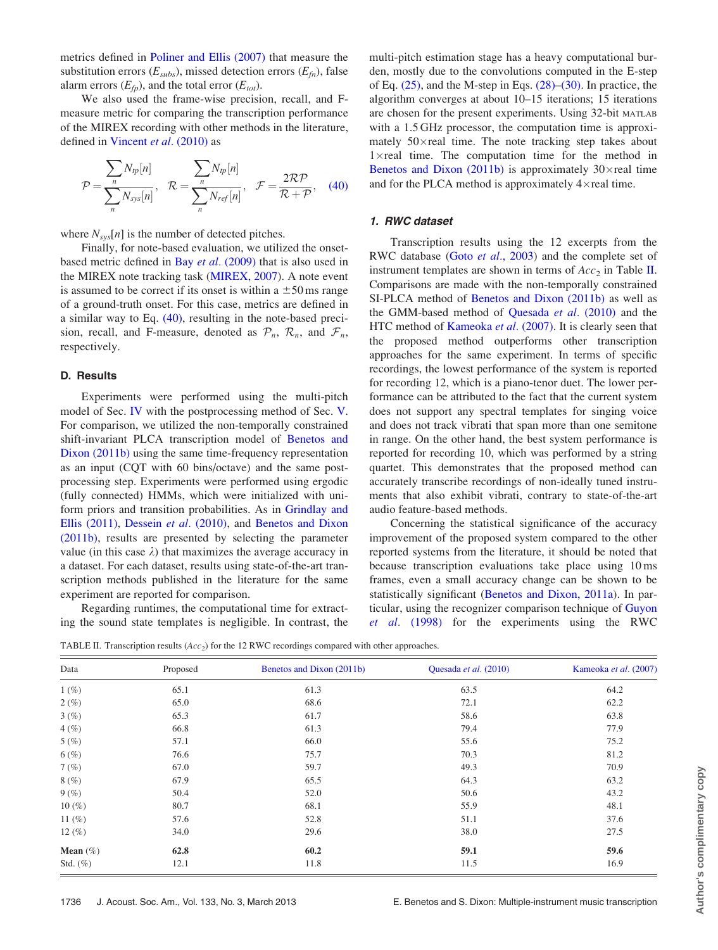metrics defined in [Poliner and Ellis \(2007\)](#page-13-0) that measure the substitution errors ( $E_{subs}$ ), missed detection errors ( $E_{fn}$ ), false alarm errors  $(E_{fp})$ , and the total error  $(E_{tot})$ .

We also used the frame-wise precision, recall, and Fmeasure metric for comparing the transcription performance of the MIREX recording with other methods in the literature, defined in [Vincent](#page-14-0) et al. (2010) as

$$
\mathcal{P} = \frac{\sum_{n} N_{tp}[n]}{\sum_{n} N_{sys}[n]}, \quad \mathcal{R} = \frac{\sum_{n} N_{tp}[n]}{\sum_{n} N_{ref}[n]}, \quad \mathcal{F} = \frac{2\mathcal{RP}}{\mathcal{R} + \mathcal{P}}, \quad (40)
$$

where  $N_{sys}[n]$  is the number of detected pitches.

Finally, for note-based evaluation, we utilized the onset-based metric defined in Bay et al. [\(2009\)](#page-13-0) that is also used in the MIREX note tracking task [\(MIREX, 2007\)](#page-13-0). A note event is assumed to be correct if its onset is within a  $\pm 50$  ms range of a ground-truth onset. For this case, metrics are defined in a similar way to Eq. (40), resulting in the note-based precision, recall, and F-measure, denoted as  $\mathcal{P}_n$ ,  $\mathcal{R}_n$ , and  $\mathcal{F}_n$ , respectively.

#### D. Results

Experiments were performed using the multi-pitch model of Sec. [IV](#page-4-0) with the postprocessing method of Sec. [V.](#page-7-0) For comparison, we utilized the non-temporally constrained shift-invariant PLCA transcription model of [Benetos and](#page-13-0) [Dixon \(2011b\)](#page-13-0) using the same time-frequency representation as an input (CQT with 60 bins/octave) and the same postprocessing step. Experiments were performed using ergodic (fully connected) HMMs, which were initialized with uniform priors and transition probabilities. As in [Grindlay and](#page-13-0) [Ellis \(2011\)](#page-13-0), [Dessein](#page-13-0) et al. (2010), and [Benetos and Dixon](#page-13-0) [\(2011b\)](#page-13-0), results are presented by selecting the parameter value (in this case  $\lambda$ ) that maximizes the average accuracy in a dataset. For each dataset, results using state-of-the-art transcription methods published in the literature for the same experiment are reported for comparison.

Regarding runtimes, the computational time for extracting the sound state templates is negligible. In contrast, the multi-pitch estimation stage has a heavy computational burden, mostly due to the convolutions computed in the E-step of Eq.  $(25)$ , and the M-step in Eqs.  $(28)$ – $(30)$ . In practice, the algorithm converges at about 10–15 iterations; 15 iterations are chosen for the present experiments. Using 32-bit MATLAB with a 1.5 GHz processor, the computation time is approximately  $50 \times$ real time. The note tracking step takes about  $1 \times$ real time. The computation time for the method in [Benetos and Dixon \(2011b\)](#page-13-0) is approximately  $30 \times$ real time and for the PLCA method is approximately  $4 \times$ real time.

## 1. RWC dataset

Transcription results using the 12 excerpts from the RWC database (Goto *et al.*[, 2003\)](#page-13-0) and the complete set of instrument templates are shown in terms of  $Acc<sub>2</sub>$  in Table II. Comparisons are made with the non-temporally constrained SI-PLCA method of [Benetos and Dixon \(2011b\)](#page-13-0) as well as the GMM-based method of [Quesada](#page-13-0) et al. (2010) and the HTC method of [Kameoka](#page-13-0) et al. (2007). It is clearly seen that the proposed method outperforms other transcription approaches for the same experiment. In terms of specific recordings, the lowest performance of the system is reported for recording 12, which is a piano-tenor duet. The lower performance can be attributed to the fact that the current system does not support any spectral templates for singing voice and does not track vibrati that span more than one semitone in range. On the other hand, the best system performance is reported for recording 10, which was performed by a string quartet. This demonstrates that the proposed method can accurately transcribe recordings of non-ideally tuned instruments that also exhibit vibrati, contrary to state-of-the-art audio feature-based methods.

Concerning the statistical significance of the accuracy improvement of the proposed system compared to the other reported systems from the literature, it should be noted that because transcription evaluations take place using 10 ms frames, even a small accuracy change can be shown to be statistically significant [\(Benetos and Dixon, 2011a\)](#page-13-0). In particular, using the recognizer comparison technique of [Guyon](#page-13-0) et al. [\(1998\)](#page-13-0) for the experiments using the RWC

TABLE II. Transcription results  $(Acc_2)$  for the 12 RWC recordings compared with other approaches.

Data Proposed [Benetos and Dixon \(2011b\) Quesada](#page-13-0) et al. (2010) [Kameoka](#page-13-0) et al. (2007)

 $1\ (\%)$  65.1 61.3 61.3 63.5 64.2

| 2(%)         | 65.0 | 68.6 | 72.1 | 62.2 |
|--------------|------|------|------|------|
| 3(%)         | 65.3 | 61.7 | 58.6 | 63.8 |
| 4(%)         | 66.8 | 61.3 | 79.4 | 77.9 |
| 5(%)         | 57.1 | 66.0 | 55.6 | 75.2 |
| 6(%)         | 76.6 | 75.7 | 70.3 | 81.2 |
| 7(%)         | 67.0 | 59.7 | 49.3 | 70.9 |
| 8(%)         | 67.9 | 65.5 | 64.3 | 63.2 |
| 9(%)         | 50.4 | 52.0 | 50.6 | 43.2 |
| 10(%)        | 80.7 | 68.1 | 55.9 | 48.1 |
| 11 $(\% )$   | 57.6 | 52.8 | 51.1 | 37.6 |
| 12(%)        | 34.0 | 29.6 | 38.0 | 27.5 |
| Mean $(\% )$ | 62.8 | 60.2 | 59.1 | 59.6 |
| Std. $(\%)$  | 12.1 | 11.8 | 11.5 | 16.9 |

| m)<br>é<br>۶           |
|------------------------|
| J,<br>i<br>ż<br>ŕ<br>۰ |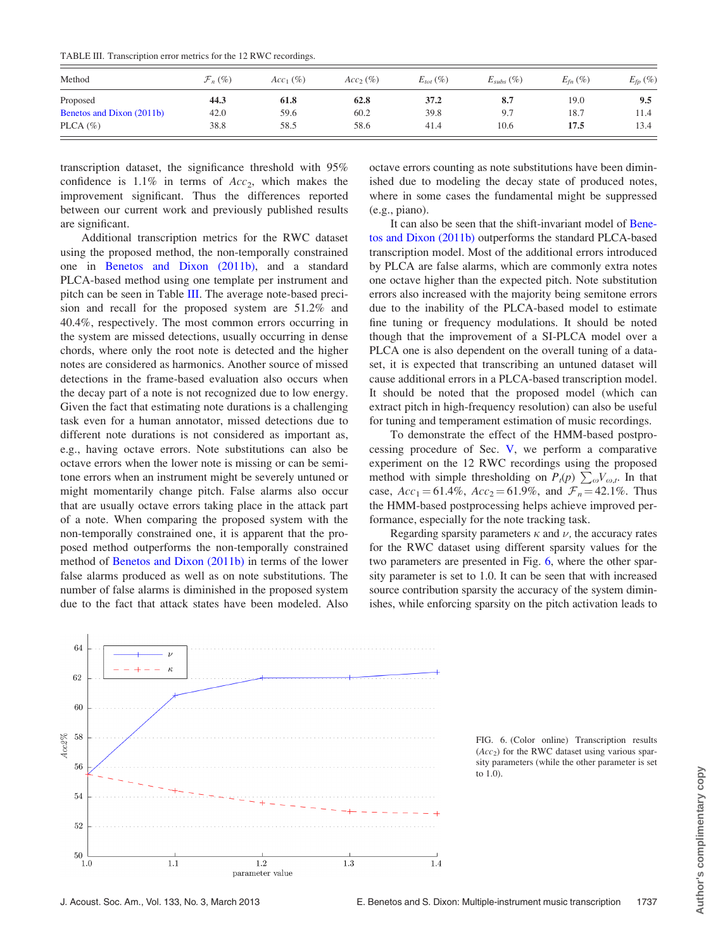TABLE III. Transcription error metrics for the 12 RWC recordings.

| Method                    | $\mathcal{F}_n$ (%) | $Acc_{1}$ (%) | $Acc_{2}$ (%) | $E_{tot}$ (%) | $E_{subs}$ (%) | $E_{\text{fn}}(\%)$ | $E_{fp}$ (%) |
|---------------------------|---------------------|---------------|---------------|---------------|----------------|---------------------|--------------|
| Proposed                  | 44.3                | 61.8          | 62.8          | 37.2          | 8.7            | 19.0                | 9.5          |
| Benetos and Dixon (2011b) | 42.0                | 59.6          | 60.2          | 39.8          | 9.7            | 18.7                | 11.4         |
| PLCA $(\%)$               | 38.8                | 58.5          | 58.6          | 41.4          | 10.6           | 17.5                | 13.4         |

transcription dataset, the significance threshold with 95% confidence is  $1.1\%$  in terms of  $Acc<sub>2</sub>$ , which makes the improvement significant. Thus the differences reported between our current work and previously published results are significant.

Additional transcription metrics for the RWC dataset using the proposed method, the non-temporally constrained one in [Benetos and Dixon \(2011b\)](#page-13-0), and a standard PLCA-based method using one template per instrument and pitch can be seen in Table III. The average note-based precision and recall for the proposed system are 51.2% and 40.4%, respectively. The most common errors occurring in the system are missed detections, usually occurring in dense chords, where only the root note is detected and the higher notes are considered as harmonics. Another source of missed detections in the frame-based evaluation also occurs when the decay part of a note is not recognized due to low energy. Given the fact that estimating note durations is a challenging task even for a human annotator, missed detections due to different note durations is not considered as important as, e.g., having octave errors. Note substitutions can also be octave errors when the lower note is missing or can be semitone errors when an instrument might be severely untuned or might momentarily change pitch. False alarms also occur that are usually octave errors taking place in the attack part of a note. When comparing the proposed system with the non-temporally constrained one, it is apparent that the proposed method outperforms the non-temporally constrained method of [Benetos and Dixon \(2011b\)](#page-13-0) in terms of the lower false alarms produced as well as on note substitutions. The number of false alarms is diminished in the proposed system due to the fact that attack states have been modeled. Also octave errors counting as note substitutions have been diminished due to modeling the decay state of produced notes, where in some cases the fundamental might be suppressed (e.g., piano).

It can also be seen that the shift-invariant model of [Bene](#page-13-0)[tos and Dixon \(2011b\)](#page-13-0) outperforms the standard PLCA-based transcription model. Most of the additional errors introduced by PLCA are false alarms, which are commonly extra notes one octave higher than the expected pitch. Note substitution errors also increased with the majority being semitone errors due to the inability of the PLCA-based model to estimate fine tuning or frequency modulations. It should be noted though that the improvement of a SI-PLCA model over a PLCA one is also dependent on the overall tuning of a dataset, it is expected that transcribing an untuned dataset will cause additional errors in a PLCA-based transcription model. It should be noted that the proposed model (which can extract pitch in high-frequency resolution) can also be useful for tuning and temperament estimation of music recordings.

To demonstrate the effect of the HMM-based postprocessing procedure of Sec. [V](#page-7-0), we perform a comparative experiment on the 12 RWC recordings using the proposed method with simple thresholding on  $P_t(p) \sum_{\omega} V_{\omega,t}$ . In that case,  $Acc_1 = 61.4\%, Acc_2 = 61.9\%, \text{ and } \mathcal{F}_n = 42.1\%.$  Thus the HMM-based postprocessing helps achieve improved performance, especially for the note tracking task.

Regarding sparsity parameters  $\kappa$  and  $\nu$ , the accuracy rates for the RWC dataset using different sparsity values for the two parameters are presented in Fig. 6, where the other sparsity parameter is set to 1.0. It can be seen that with increased source contribution sparsity the accuracy of the system diminishes, while enforcing sparsity on the pitch activation leads to



FIG. 6. (Color online) Transcription results  $(Acc<sub>2</sub>)$  for the RWC dataset using various sparsity parameters (while the other parameter is set to 1.0).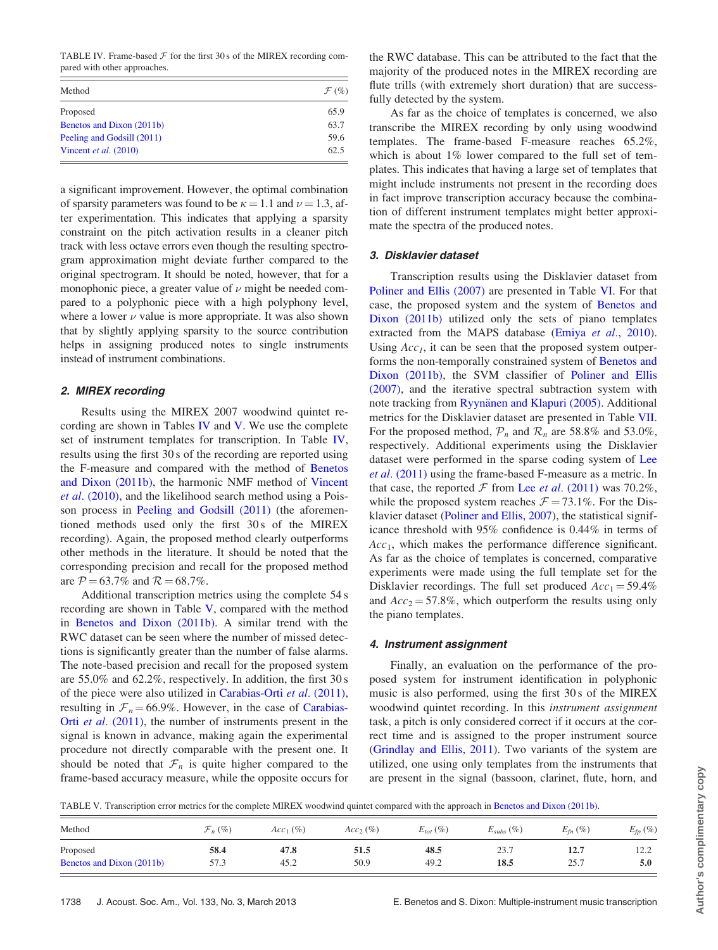TABLE IV. Frame-based  $\mathcal F$  for the first 30 s of the MIREX recording compared with other approaches.

| Method                       | $\mathcal{F}(\%)$ |
|------------------------------|-------------------|
| Proposed                     | 65.9              |
| Benetos and Dixon (2011b)    | 63.7              |
| Peeling and Godsill (2011)   | 59.6              |
| Vincent <i>et al.</i> (2010) | 62.5              |

a significant improvement. However, the optimal combination of sparsity parameters was found to be  $\kappa = 1.1$  and  $\nu = 1.3$ , after experimentation. This indicates that applying a sparsity constraint on the pitch activation results in a cleaner pitch track with less octave errors even though the resulting spectrogram approximation might deviate further compared to the original spectrogram. It should be noted, however, that for a monophonic piece, a greater value of  $\nu$  might be needed compared to a polyphonic piece with a high polyphony level, where a lower  $\nu$  value is more appropriate. It was also shown that by slightly applying sparsity to the source contribution helps in assigning produced notes to single instruments instead of instrument combinations.

#### 2. MIREX recording

Results using the MIREX 2007 woodwind quintet recording are shown in Tables  $IV$  and  $V$ . We use the complete set of instrument templates for transcription. In Table IV, results using the first 30 s of the recording are reported using the F-measure and compared with the method of [Benetos](#page-13-0) [and Dixon \(2011b\)](#page-13-0), the harmonic NMF method of [Vincent](#page-14-0) et al. [\(2010\),](#page-14-0) and the likelihood search method using a Poisson process in [Peeling and Godsill \(2011\)](#page-13-0) (the aforementioned methods used only the first 30 s of the MIREX recording). Again, the proposed method clearly outperforms other methods in the literature. It should be noted that the corresponding precision and recall for the proposed method are  $P = 63.7\%$  and  $R = 68.7\%$ .

Additional transcription metrics using the complete 54 s recording are shown in Table V, compared with the method in [Benetos and Dixon \(2011b\)](#page-13-0). A similar trend with the RWC dataset can be seen where the number of missed detections is significantly greater than the number of false alarms. The note-based precision and recall for the proposed system are 55.0% and 62.2%, respectively. In addition, the first 30 s of the piece were also utilized in [Carabias-Orti](#page-13-0) et al. (2011), resulting in  $F_n = 66.9\%$ . However, in the case of [Carabias-](#page-13-0)Orti et al. [\(2011\),](#page-13-0) the number of instruments present in the signal is known in advance, making again the experimental procedure not directly comparable with the present one. It should be noted that  $\mathcal{F}_n$  is quite higher compared to the frame-based accuracy measure, while the opposite occurs for the RWC database. This can be attributed to the fact that the majority of the produced notes in the MIREX recording are flute trills (with extremely short duration) that are successfully detected by the system.

As far as the choice of templates is concerned, we also transcribe the MIREX recording by only using woodwind templates. The frame-based F-measure reaches 65.2%, which is about 1% lower compared to the full set of templates. This indicates that having a large set of templates that might include instruments not present in the recording does in fact improve transcription accuracy because the combination of different instrument templates might better approximate the spectra of the produced notes.

## 3. Disklavier dataset

Transcription results using the Disklavier dataset from [Poliner and Ellis \(2007\)](#page-13-0) are presented in Table [VI](#page-12-0). For that case, the proposed system and the system of [Benetos and](#page-13-0) [Dixon \(2011b\)](#page-13-0) utilized only the sets of piano templates extracted from the MAPS database (Emiya et al.[, 2010\)](#page-13-0). Using  $Acc<sub>1</sub>$ , it can be seen that the proposed system outperforms the non-temporally constrained system of [Benetos and](#page-13-0) [Dixon \(2011b\),](#page-13-0) the SVM classifier of [Poliner and Ellis](#page-13-0) [\(2007\),](#page-13-0) and the iterative spectral subtraction system with note tracking from [Ryyn](#page-13-0)ä[nen and Klapuri \(2005\).](#page-13-0) Additional metrics for the Disklavier dataset are presented in Table [VII.](#page-12-0) For the proposed method,  $P_n$  and  $R_n$  are 58.8% and 53.0%, respectively. Additional experiments using the Disklavier dataset were performed in the sparse coding system of [Lee](#page-13-0) et al. [\(2011\)](#page-13-0) using the frame-based F-measure as a metric. In that case, the reported  $\mathcal F$  from Lee et al. [\(2011\)](#page-13-0) was 70.2%, while the proposed system reaches  $\mathcal{F} = 73.1\%$ . For the Disklavier dataset [\(Poliner and Ellis, 2007\)](#page-13-0), the statistical significance threshold with 95% confidence is 0.44% in terms of  $Acc<sub>1</sub>$ , which makes the performance difference significant. As far as the choice of templates is concerned, comparative experiments were made using the full template set for the Disklavier recordings. The full set produced  $Acc<sub>1</sub> = 59.4%$ and  $Acc<sub>2</sub> = 57.8\%$ , which outperform the results using only the piano templates.

## 4. Instrument assignment

Finally, an evaluation on the performance of the proposed system for instrument identification in polyphonic music is also performed, using the first 30 s of the MIREX woodwind quintet recording. In this instrument assignment task, a pitch is only considered correct if it occurs at the correct time and is assigned to the proper instrument source [\(Grindlay and Ellis, 2011\)](#page-13-0). Two variants of the system are utilized, one using only templates from the instruments that are present in the signal (bassoon, clarinet, flute, horn, and

TABLE V. Transcription error metrics for the complete MIREX woodwind quintet compared with the approach in [Benetos and Dixon \(2011b\).](#page-13-0)

| Method                    | $\mathcal{F}_n$ (%) | $Acc_{1} (\%)$ | $Acc_2$ (%) | $E_{tot}$ (%) | $E_{subs}$ (%) | $E_{fn}$ (%) | $E_{fp}$ (%)                          |
|---------------------------|---------------------|----------------|-------------|---------------|----------------|--------------|---------------------------------------|
| Proposed                  | 58.4                | 47.8           | 51.5        | 48.5          | 23.7           | 12.7         | $1 \nightharpoonup . \nightharpoonup$ |
| Benetos and Dixon (2011b) | 57.3                | 45.2           | 50.9        | 49.2          | 18.5           | 25.7         | 5.0                                   |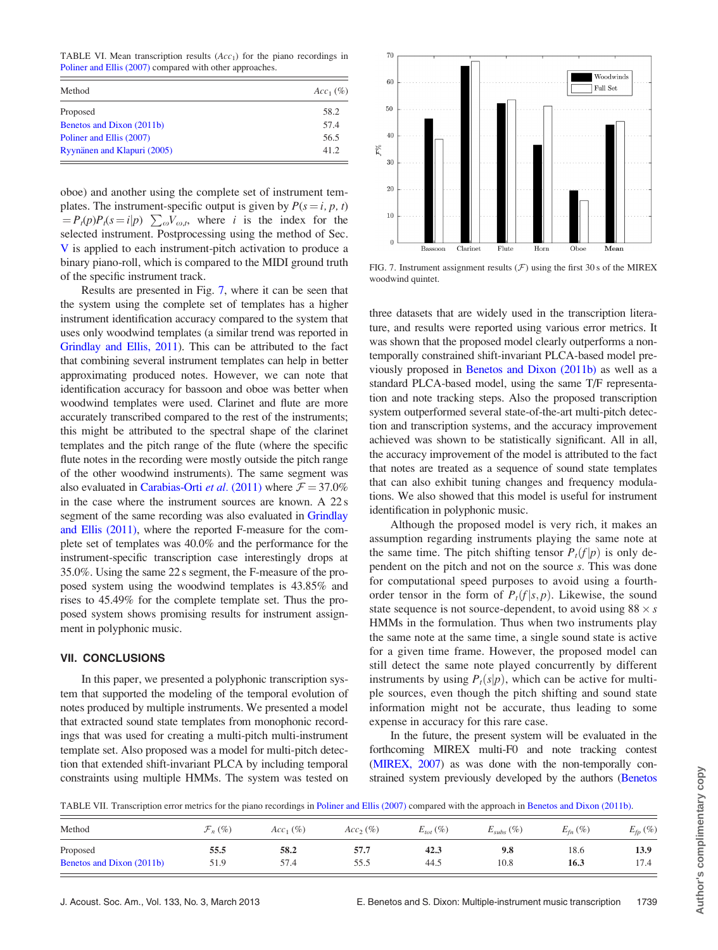<span id="page-12-0"></span>TABLE VI. Mean transcription results  $(Acc_1)$  for the piano recordings in [Poliner and Ellis \(2007\)](#page-13-0) compared with other approaches.

| Method                      | $Acc_{1} (\%)$ |
|-----------------------------|----------------|
| Proposed                    | 58.2           |
| Benetos and Dixon (2011b)   | 57.4           |
| Poliner and Ellis (2007)    | 56.5           |
| Ryynänen and Klapuri (2005) | 41.2           |

oboe) and another using the complete set of instrument templates. The instrument-specific output is given by  $P(s = i, p, t)$  $= P_t(p)P_t(s = i|p)$   $\sum_{\omega}V_{\omega,t}$ , where i is the index for the selected instrument. Postprocessing using the method of Sec. [V](#page-7-0) is applied to each instrument-pitch activation to produce a binary piano-roll, which is compared to the MIDI ground truth of the specific instrument track.

Results are presented in Fig. 7, where it can be seen that the system using the complete set of templates has a higher instrument identification accuracy compared to the system that uses only woodwind templates (a similar trend was reported in [Grindlay and Ellis, 2011\)](#page-13-0). This can be attributed to the fact that combining several instrument templates can help in better approximating produced notes. However, we can note that identification accuracy for bassoon and oboe was better when woodwind templates were used. Clarinet and flute are more accurately transcribed compared to the rest of the instruments; this might be attributed to the spectral shape of the clarinet templates and the pitch range of the flute (where the specific flute notes in the recording were mostly outside the pitch range of the other woodwind instruments). The same segment was also evaluated in [Carabias-Orti](#page-13-0) *et al.* (2011) where  $\mathcal{F} = 37.0\%$ in the case where the instrument sources are known. A 22 s segment of the same recording was also evaluated in [Grindlay](#page-13-0) [and Ellis \(2011\),](#page-13-0) where the reported F-measure for the complete set of templates was 40.0% and the performance for the instrument-specific transcription case interestingly drops at 35.0%. Using the same 22 s segment, the F-measure of the proposed system using the woodwind templates is 43.85% and rises to 45.49% for the complete template set. Thus the proposed system shows promising results for instrument assignment in polyphonic music.

# VII. CONCLUSIONS

In this paper, we presented a polyphonic transcription system that supported the modeling of the temporal evolution of notes produced by multiple instruments. We presented a model that extracted sound state templates from monophonic recordings that was used for creating a multi-pitch multi-instrument template set. Also proposed was a model for multi-pitch detection that extended shift-invariant PLCA by including temporal constraints using multiple HMMs. The system was tested on



FIG. 7. Instrument assignment results  $(F)$  using the first 30 s of the MIREX woodwind quintet.

three datasets that are widely used in the transcription literature, and results were reported using various error metrics. It was shown that the proposed model clearly outperforms a nontemporally constrained shift-invariant PLCA-based model previously proposed in [Benetos and Dixon \(2011b\)](#page-13-0) as well as a standard PLCA-based model, using the same T/F representation and note tracking steps. Also the proposed transcription system outperformed several state-of-the-art multi-pitch detection and transcription systems, and the accuracy improvement achieved was shown to be statistically significant. All in all, the accuracy improvement of the model is attributed to the fact that notes are treated as a sequence of sound state templates that can also exhibit tuning changes and frequency modulations. We also showed that this model is useful for instrument identification in polyphonic music.

Although the proposed model is very rich, it makes an assumption regarding instruments playing the same note at the same time. The pitch shifting tensor  $P_t(f|p)$  is only dependent on the pitch and not on the source s. This was done for computational speed purposes to avoid using a fourthorder tensor in the form of  $P_t(f|s, p)$ . Likewise, the sound state sequence is not source-dependent, to avoid using  $88 \times s$ HMMs in the formulation. Thus when two instruments play the same note at the same time, a single sound state is active for a given time frame. However, the proposed model can still detect the same note played concurrently by different instruments by using  $P_t(s|p)$ , which can be active for multiple sources, even though the pitch shifting and sound state information might not be accurate, thus leading to some expense in accuracy for this rare case.

In the future, the present system will be evaluated in the forthcoming MIREX multi-F0 and note tracking contest [\(MIREX, 2007\)](#page-13-0) as was done with the non-temporally constrained system previously developed by the authors ([Benetos](#page-13-0)

TABLE VII. Transcription error metrics for the piano recordings in [Poliner and Ellis \(2007\)](#page-13-0) compared with the approach in [Benetos and Dixon \(2011b\)](#page-13-0).

| Method                    | $\mathcal{F}_n$ (%) | $Acc_{1}$ (%) | $Acc_{2}$ (%) | $E_{tot}$ (%) | $E_{subs}$ (%) | $E_{fn}$ (%) | $E_{fp}$ (%) |
|---------------------------|---------------------|---------------|---------------|---------------|----------------|--------------|--------------|
| Proposed                  | 55.5                | 58.2          | 57.7          | 42.3          | 9.8            | 18.6         | 13.9         |
| Benetos and Dixon (2011b) | 51.9                | 57.4          | 55.5          | 44.5          | 10.8           | 16.3         | 17.4         |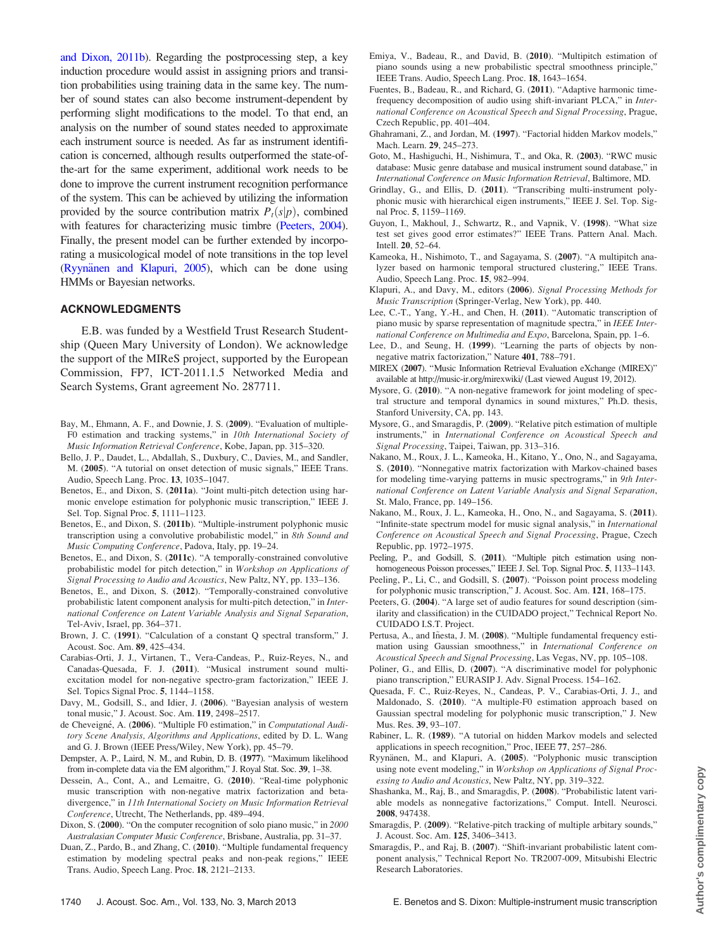<span id="page-13-0"></span>and Dixon, 2011b). Regarding the postprocessing step, a key induction procedure would assist in assigning priors and transition probabilities using training data in the same key. The number of sound states can also become instrument-dependent by performing slight modifications to the model. To that end, an analysis on the number of sound states needed to approximate each instrument source is needed. As far as instrument identification is concerned, although results outperformed the state-ofthe-art for the same experiment, additional work needs to be done to improve the current instrument recognition performance of the system. This can be achieved by utilizing the information provided by the source contribution matrix  $P_t(s|p)$ , combined with features for characterizing music timbre (Peeters, 2004). Finally, the present model can be further extended by incorporating a musicological model of note transitions in the top level (Ryynänen and Klapuri, 2005), which can be done using HMMs or Bayesian networks.

#### ACKNOWLEDGMENTS

E.B. was funded by a Westfield Trust Research Studentship (Queen Mary University of London). We acknowledge the support of the MIReS project, supported by the European Commission, FP7, ICT-2011.1.5 Networked Media and Search Systems, Grant agreement No. 287711.

- Bay, M., Ehmann, A. F., and Downie, J. S. (2009). "Evaluation of multiple-F0 estimation and tracking systems," in 10th International Society of Music Information Retrieval Conference, Kobe, Japan, pp. 315–320.
- Bello, J. P., Daudet, L., Abdallah, S., Duxbury, C., Davies, M., and Sandler, M. (2005). "A tutorial on onset detection of music signals," IEEE Trans. Audio, Speech Lang. Proc. 13, 1035–1047.
- Benetos, E., and Dixon, S. (2011a). "Joint multi-pitch detection using harmonic envelope estimation for polyphonic music transcription," IEEE J. Sel. Top. Signal Proc. 5, 1111–1123.
- Benetos, E., and Dixon, S. (2011b). "Multiple-instrument polyphonic music transcription using a convolutive probabilistic model," in 8th Sound and Music Computing Conference, Padova, Italy, pp. 19–24.
- Benetos, E., and Dixon, S. (2011c). "A temporally-constrained convolutive probabilistic model for pitch detection," in Workshop on Applications of Signal Processing to Audio and Acoustics, New Paltz, NY, pp. 133–136.
- Benetos, E., and Dixon, S. (2012). "Temporally-constrained convolutive probabilistic latent component analysis for multi-pitch detection," in International Conference on Latent Variable Analysis and Signal Separation, Tel-Aviv, Israel, pp. 364–371.
- Brown, J. C. (1991). "Calculation of a constant Q spectral transform," J. Acoust. Soc. Am. 89, 425–434.
- Carabias-Orti, J. J., Virtanen, T., Vera-Candeas, P., Ruiz-Reyes, N., and Canadas-Quesada, F. J. (2011). "Musical instrument sound multiexcitation model for non-negative spectro-gram factorization," IEEE J. Sel. Topics Signal Proc. 5, 1144–1158.
- Davy, M., Godsill, S., and Idier, J. (2006). "Bayesian analysis of western tonal music," J. Acoust. Soc. Am. 119, 2498–2517.
- de Cheveigné, A. (2006). "Multiple F0 estimation," in Computational Auditory Scene Analysis, Algorithms and Applications, edited by D. L. Wang and G. J. Brown (IEEE Press/Wiley, New York), pp. 45–79.
- Dempster, A. P., Laird, N. M., and Rubin, D. B. (1977). "Maximum likelihood from in-complete data via the EM algorithm," J. Royal Stat. Soc. 39, 1–38.
- Dessein, A., Cont, A., and Lemaitre, G. (2010). "Real-time polyphonic music transcription with non-negative matrix factorization and betadivergence," in 11th International Society on Music Information Retrieval Conference, Utrecht, The Netherlands, pp. 489–494.
- Dixon, S. (2000). "On the computer recognition of solo piano music," in 2000 Australasian Computer Music Conference, Brisbane, Australia, pp. 31–37.
- Duan, Z., Pardo, B., and Zhang, C. (2010). "Multiple fundamental frequency estimation by modeling spectral peaks and non-peak regions," IEEE Trans. Audio, Speech Lang. Proc. 18, 2121–2133.
- Emiya, V., Badeau, R., and David, B. (2010). "Multipitch estimation of piano sounds using a new probabilistic spectral smoothness principle," IEEE Trans. Audio, Speech Lang. Proc. 18, 1643–1654.
- Fuentes, B., Badeau, R., and Richard, G. (2011). "Adaptive harmonic timefrequency decomposition of audio using shift-invariant PLCA," in International Conference on Acoustical Speech and Signal Processing, Prague, Czech Republic, pp. 401–404.
- Ghahramani, Z., and Jordan, M. (1997). "Factorial hidden Markov models," Mach. Learn. 29, 245–273.
- Goto, M., Hashiguchi, H., Nishimura, T., and Oka, R. (2003). "RWC music database: Music genre database and musical instrument sound database," in International Conference on Music Information Retrieval, Baltimore, MD.
- Grindlay, G., and Ellis, D. (2011). "Transcribing multi-instrument polyphonic music with hierarchical eigen instruments," IEEE J. Sel. Top. Signal Proc. 5, 1159–1169.
- Guyon, I., Makhoul, J., Schwartz, R., and Vapnik, V. (1998). "What size test set gives good error estimates?" IEEE Trans. Pattern Anal. Mach. Intell. 20, 52–64.
- Kameoka, H., Nishimoto, T., and Sagayama, S. (2007). "A multipitch analyzer based on harmonic temporal structured clustering," IEEE Trans. Audio, Speech Lang. Proc. 15, 982–994.
- Klapuri, A., and Davy, M., editors (2006). Signal Processing Methods for Music Transcription (Springer-Verlag, New York), pp. 440.
- Lee, C.-T., Yang, Y.-H., and Chen, H. (2011). "Automatic transcription of piano music by sparse representation of magnitude spectra," in IEEE International Conference on Multimedia and Expo, Barcelona, Spain, pp. 1–6.
- Lee, D., and Seung, H. (1999). "Learning the parts of objects by nonnegative matrix factorization," Nature 401, 788–791.
- MIREX (2007). "Music Information Retrieval Evaluation eXchange (MIREX)" available at<http://music-ir.org/mirexwiki/> (Last viewed August 19, 2012).
- Mysore, G. (2010). "A non-negative framework for joint modeling of spectral structure and temporal dynamics in sound mixtures," Ph.D. thesis, Stanford University, CA, pp. 143.
- Mysore, G., and Smaragdis, P. (2009). "Relative pitch estimation of multiple instruments," in International Conference on Acoustical Speech and Signal Processing, Taipei, Taiwan, pp. 313–316.
- Nakano, M., Roux, J. L., Kameoka, H., Kitano, Y., Ono, N., and Sagayama, S. (2010). "Nonnegative matrix factorization with Markov-chained bases for modeling time-varying patterns in music spectrograms," in 9th International Conference on Latent Variable Analysis and Signal Separation, St. Malo, France, pp. 149–156.
- Nakano, M., Roux, J. L., Kameoka, H., Ono, N., and Sagayama, S. (2011). "Infinite-state spectrum model for music signal analysis," in International Conference on Acoustical Speech and Signal Processing, Prague, Czech Republic, pp. 1972–1975.
- Peeling, P., and Godsill, S. (2011). "Multiple pitch estimation using nonhomogeneous Poisson processes," IEEE J. Sel. Top. Signal Proc. 5, 1133–1143.
- Peeling, P., Li, C., and Godsill, S. (2007). "Poisson point process modeling for polyphonic music transcription," J. Acoust. Soc. Am. 121, 168–175.
- Peeters, G. (2004). "A large set of audio features for sound description (similarity and classification) in the CUIDADO project," Technical Report No. CUIDADO I.S.T. Project.
- Pertusa, A., and Iñesta, J. M. (2008). "Multiple fundamental frequency estimation using Gaussian smoothness," in International Conference on Acoustical Speech and Signal Processing, Las Vegas, NV, pp. 105–108.
- Poliner, G., and Ellis, D. (2007). "A discriminative model for polyphonic piano transcription," EURASIP J. Adv. Signal Process. 154–162.
- Quesada, F. C., Ruiz-Reyes, N., Candeas, P. V., Carabias-Orti, J. J., and Maldonado, S. (2010). "A multiple-F0 estimation approach based on Gaussian spectral modeling for polyphonic music transcription," J. New Mus. Res. 39, 93–107.
- Rabiner, L. R. (1989). "A tutorial on hidden Markov models and selected applications in speech recognition," Proc, IEEE 77, 257–286.
- Ryynänen, M., and Klapuri, A. (2005). "Polyphonic music transciption using note event modeling," in Workshop on Applications of Signal Processing to Audio and Acoustics, New Paltz, NY, pp. 319–322.
- Shashanka, M., Raj, B., and Smaragdis, P. (2008). "Probabilistic latent variable models as nonnegative factorizations," Comput. Intell. Neurosci. 2008, 947438.
- Smaragdis, P. (2009). "Relative-pitch tracking of multiple arbitary sounds," J. Acoust. Soc. Am. 125, 3406–3413.
- Smaragdis, P., and Raj, B. (2007). "Shift-invariant probabilistic latent component analysis," Technical Report No. TR2007-009, Mitsubishi Electric Research Laboratories.